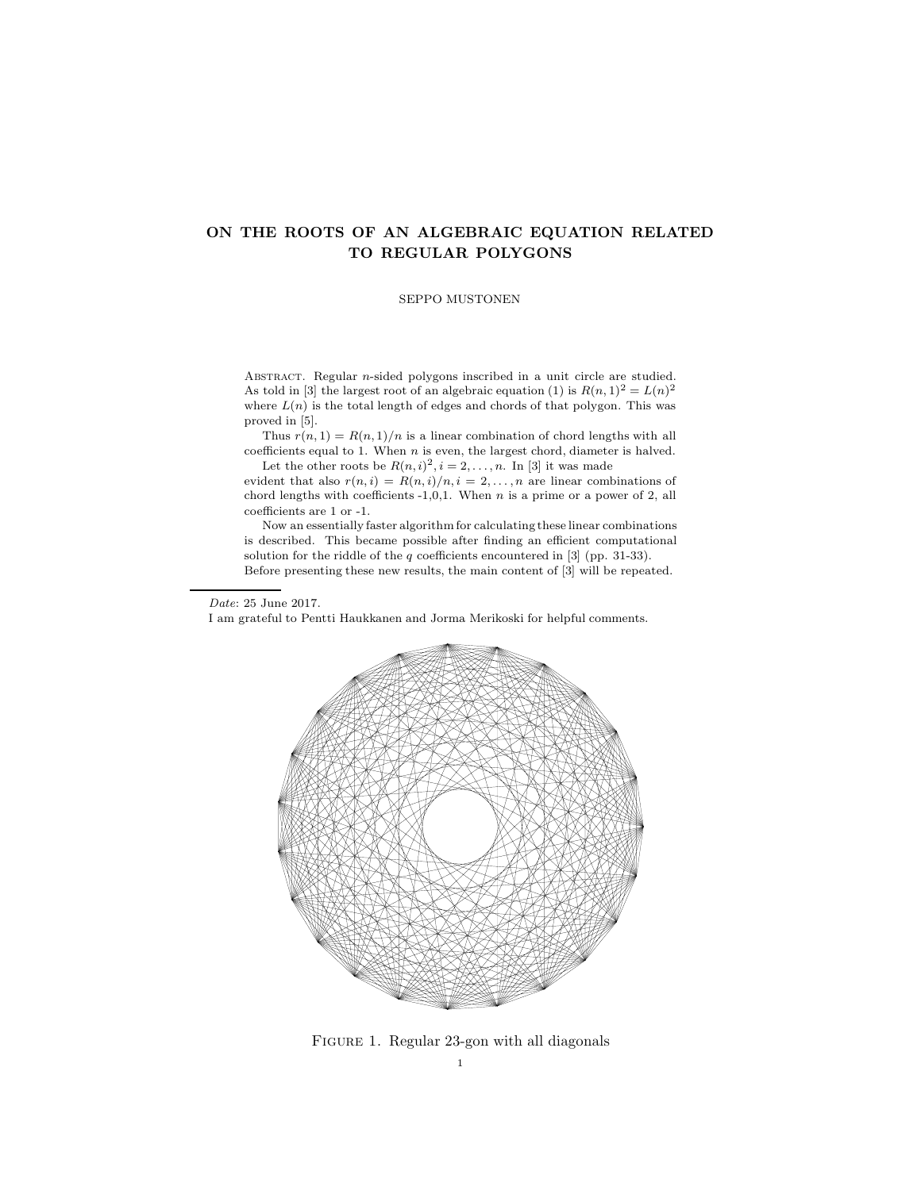SEPPO MUSTONEN

ABSTRACT. Regular *n*-sided polygons inscribed in a unit circle are studied. As told in [3] the largest root of an algebraic equation (1) is  $R(n, 1)^2 = L(n)^2$ where  $L(n)$  is the total length of edges and chords of that polygon. This was proved in [5].

Thus  $r(n, 1) = R(n, 1)/n$  is a linear combination of chord lengths with all coefficients equal to 1. When  $n$  is even, the largest chord, diameter is halved. Let the other roots be  $R(n,i)^2$ ,  $i = 2, \ldots, n$ . In [3] it was made

evident that also  $r(n, i) = R(n, i)/n, i = 2, ..., n$  are linear combinations of chord lengths with coefficients  $-1,0,1$ . When n is a prime or a power of 2, all coefficients are 1 or -1.

Now an essentially faster algorithm for calculating these linear combinations is described. This became possible after finding an efficient computational solution for the riddle of the  $q$  coefficients encountered in [3] (pp. 31-33). Before presenting these new results, the main content of [3] will be repeated.

#### Date: 25 June 2017.

I am grateful to Pentti Haukkanen and Jorma Merikoski for helpful comments.



FIGURE 1. Regular 23-gon with all diagonals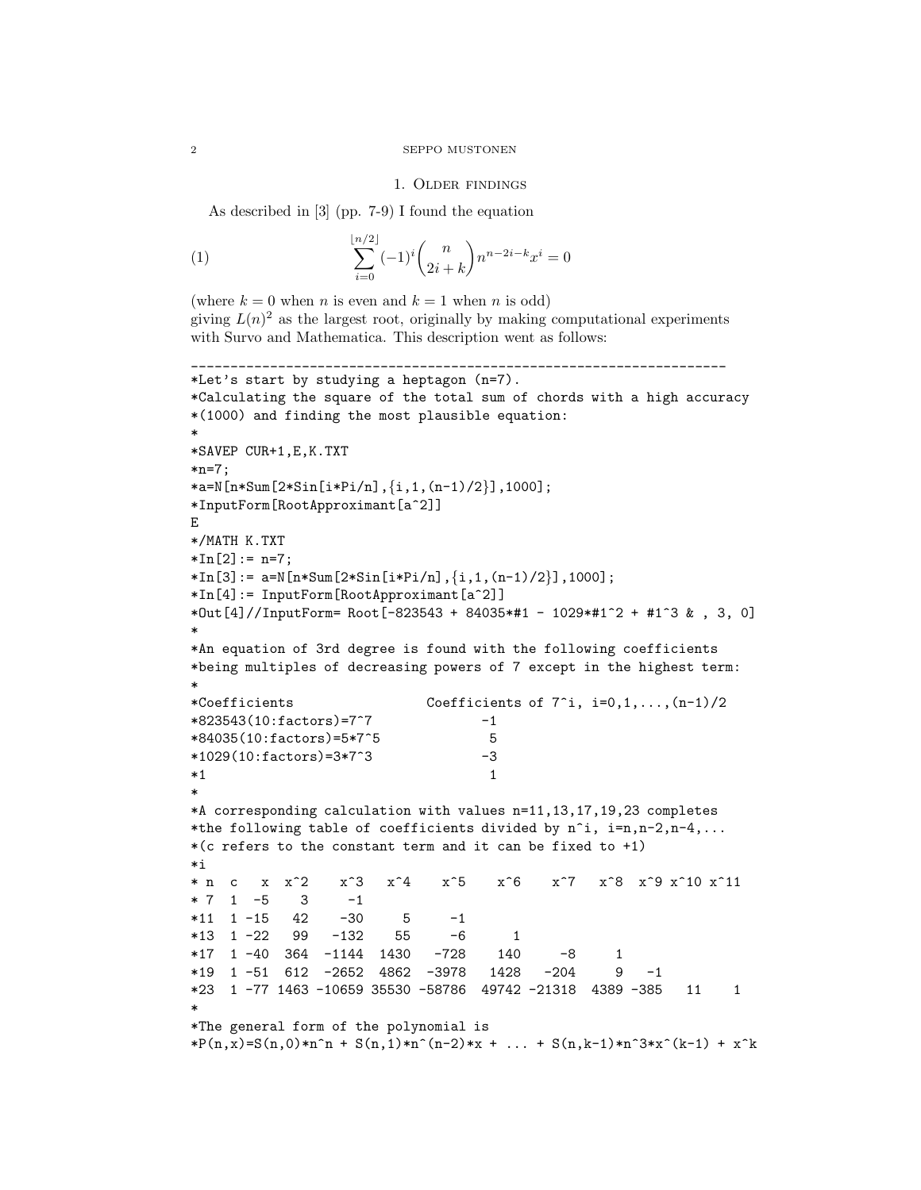## 1. Older findings

As described in [3] (pp. 7-9) I found the equation

(1) 
$$
\sum_{i=0}^{\lfloor n/2 \rfloor} (-1)^i {n \choose 2i+k} n^{n-2i-k} x^i = 0
$$

(where  $k = 0$  when n is even and  $k = 1$  when n is odd) giving  $L(n)^2$  as the largest root, originally by making computational experiments with Survo and Mathematica. This description went as follows:

\_\_\_\_\_\_\_\_\_\_\_\_\_\_\_\_\_\_\_\_\_\_\_\_\_\_\_\_\_\_\_\_\_\_\_\_\_\_\_\_\_\_\_\_\_\_\_\_\_\_\_\_\_\_\_\_\_\_\_\_\_\_\_\_\_\_\_\_

```
*Let's start by studying a heptagon (n=7).
*Calculating the square of the total sum of chords with a high accuracy
*(1000) and finding the most plausible equation:
*
*SAVEP CUR+1,E,K.TXT
*n=7;
*a=N[n*Sum[2*Sin[i*Pi/n],\{i,1,(n-1)/2\}],1000];
*InputForm[RootApproximant[a^2]]
E
*/MATH K.TXT
*In[2]:= n=7;*In[3]: = a=N[n*Sum[2*Sin[i*Pi/n], {i,1,(n-1)/2}],1000];
*In[4]:= InputForm[RootApproximant[a^2]]
*Out[4]//InputForm= Root[-823543 + 84035*#1 - 1029*#1^2 + #1^3 & , 3, 0]
*
*An equation of 3rd degree is found with the following coefficients
*being multiples of decreasing powers of 7 except in the highest term:
*
*Coefficients Coefficients of 7^i, i=0,1,...,(n-1)/2
*823543(10:factors)=7^7 -1
*84035(10:factors)=5*7^5 5
*1029(10:factors)=3*7^3 -3
*1 1
*
*A corresponding calculation with values n=11,13,17,19,23 completes
*the following table of coefficients divided by n^i, i=n,n-2,n-4,...
*(c \text{ refers to the constant term and it can be fixed to } +1)*i
* n c x x^2 x^3 x^4 x^5 x^6 x^7 x^8 x^9 x^10 x^11
* 7 1 -5 3 -1*11 1 -15 42 -30 5 -1
*13 1 -22 99 -132 55 -6 1
*17 1 -40 364 -1144 1430 -728 140 -8 1
*19 1 -51 612 -2652 4862 -3978 1428 -204 9 -1
*23 1 -77 1463 -10659 35530 -58786 49742 -21318 4389 -385 11 1
*
*The general form of the polynomial is
*P(n,x)=S(n,0)*n^n + S(n,1)*n^n(n-2)*x + ... + S(n,k-1)*n^3*x^k-1) + x^k
```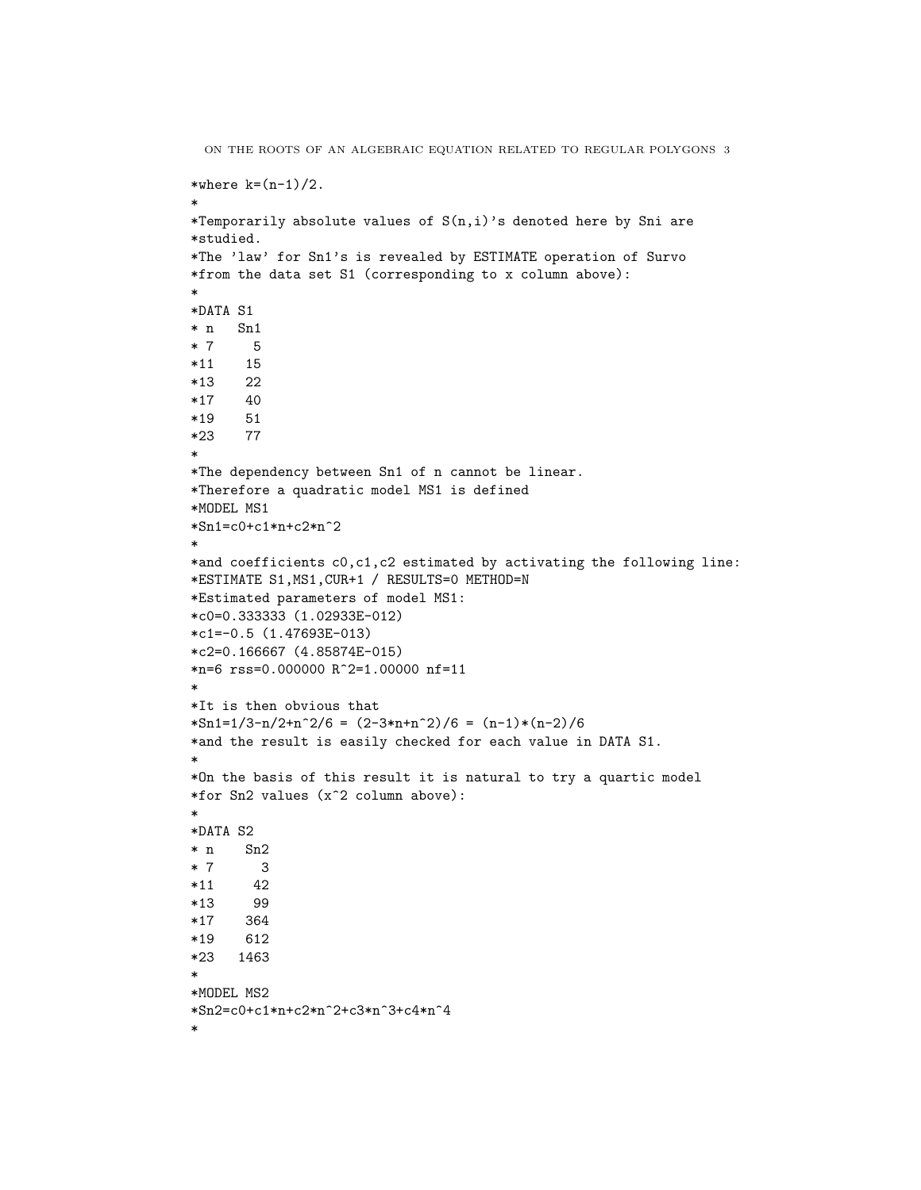```
ON THE ROOTS OF AN ALGEBRAIC EQUATION RELATED TO REGULAR POLYGONS 3
*where k=(n-1)/2.
*
*Temporarily absolute values of S(n,i)'s denoted here by Sni are
*studied.
*The 'law' for Sn1's is revealed by ESTIMATE operation of Survo
*from the data set S1 (corresponding to x column above):
*
*DATA S1
* n Sn1
* 7 5
*11 15
*13 22
*17 40
*19 51
*23 77
*
*The dependency between Sn1 of n cannot be linear.
*Therefore a quadratic model MS1 is defined
*MODEL MS1
*Sn1=c0+c1*n+c2*n^2
*
*and coefficients c0,c1,c2 estimated by activating the following line:
*ESTIMATE S1,MS1,CUR+1 / RESULTS=0 METHOD=N
*Estimated parameters of model MS1:
*c0=0.333333 (1.02933E-012)
*c1=-0.5 (1.47693E-013)
*c2=0.166667 (4.85874E-015)
*n=6 rss=0.000000 R^2=1.00000 nf=11
*
*It is then obvious that
*\text{Sn1}=1/3-n/2+n^2/6 = (2-3*n+n^2)/6 = (n-1)*(n-2)/6*and the result is easily checked for each value in DATA S1.
*
*On the basis of this result it is natural to try a quartic model
*for Sn2 values (x^2 column above):
*
*DATA S2
* n Sn2
* 7 3
*11 42
*13 99
*17 364
*19 612
*23 1463
*
*MODEL MS2
*Sn2=c0+c1*n+c2*n^2+c3*n^3+c4*n^4
*
```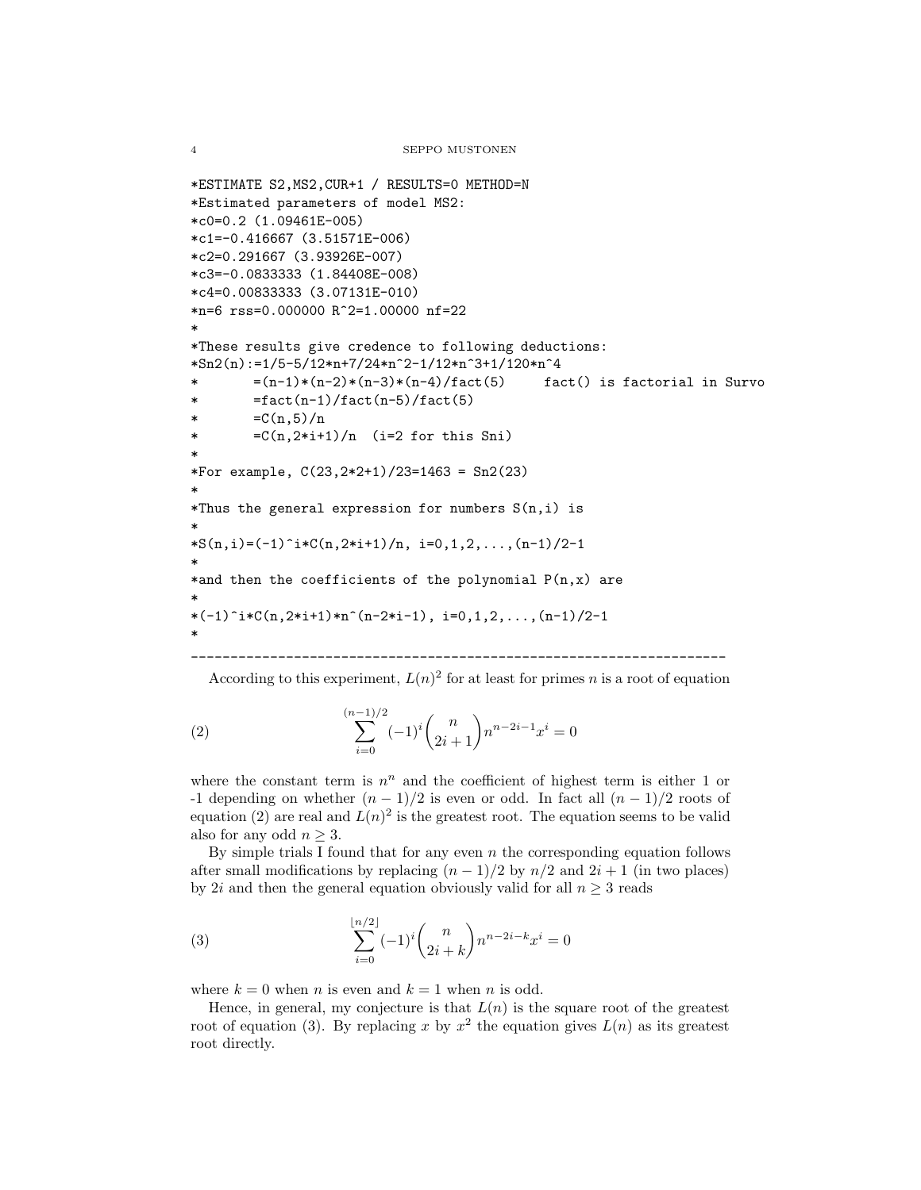```
*ESTIMATE S2,MS2,CUR+1 / RESULTS=0 METHOD=N
*Estimated parameters of model MS2:
*c0=0.2 (1.09461E-005)
*c1=-0.416667 (3.51571E-006)
*c2=0.291667 (3.93926E-007)
*c3=-0.0833333 (1.84408E-008)
*c4=0.00833333 (3.07131E-010)
*n=6 rss=0.000000 R^2=1.00000 nf=22
*
*These results give credence to following deductions:
*Sn2(n):=1/5-5/12*n+7/24*n^2-1/12*n^3+1/120*n^4
* =(n-1)*(n-2)*(n-3)*(n-4)/fact(5) fact() is factorial in Survo
* =fact(n-1)/fact(n-5)/fact(5)
* =C(n,5)/n* =C(n,2*i+1)/n (i=2 for this Sni)
*
*For example, C(23,2*2+1)/23=1463 = Sn2(23)
*
*Thus the general expression for numbers S(n,i) is
*
*S(n,i)=(-1)^i*C(n,2*i+1)/n, i=0,1,2,\ldots,(n-1)/2-1*
*and then the coefficients of the polynomial P(n,x) are
*
*(-1)^i *C(n,2*i+1)*n^(n-2*i-1), i=0,1,2,\ldots,(n-1)/2-1*
____________________________________________________________________
```
According to this experiment, 
$$
L(n)^2
$$
 for at least for primes *n* is a root of equation

(2) 
$$
\sum_{i=0}^{(n-1)/2} (-1)^i {n \choose 2i+1} n^{n-2i-1} x^i = 0
$$

where the constant term is  $n^n$  and the coefficient of highest term is either 1 or -1 depending on whether  $(n - 1)/2$  is even or odd. In fact all  $(n - 1)/2$  roots of equation (2) are real and  $L(n)^2$  is the greatest root. The equation seems to be valid also for any odd  $n \geq 3$ .

By simple trials I found that for any even  $n$  the corresponding equation follows after small modifications by replacing  $(n - 1)/2$  by  $n/2$  and  $2i + 1$  (in two places) by 2i and then the general equation obviously valid for all  $n \geq 3$  reads

(3) 
$$
\sum_{i=0}^{\lfloor n/2 \rfloor} (-1)^i {n \choose 2i+k} n^{n-2i-k} x^i = 0
$$

where  $k = 0$  when n is even and  $k = 1$  when n is odd.

Hence, in general, my conjecture is that  $L(n)$  is the square root of the greatest root of equation (3). By replacing x by  $x^2$  the equation gives  $L(n)$  as its greatest root directly.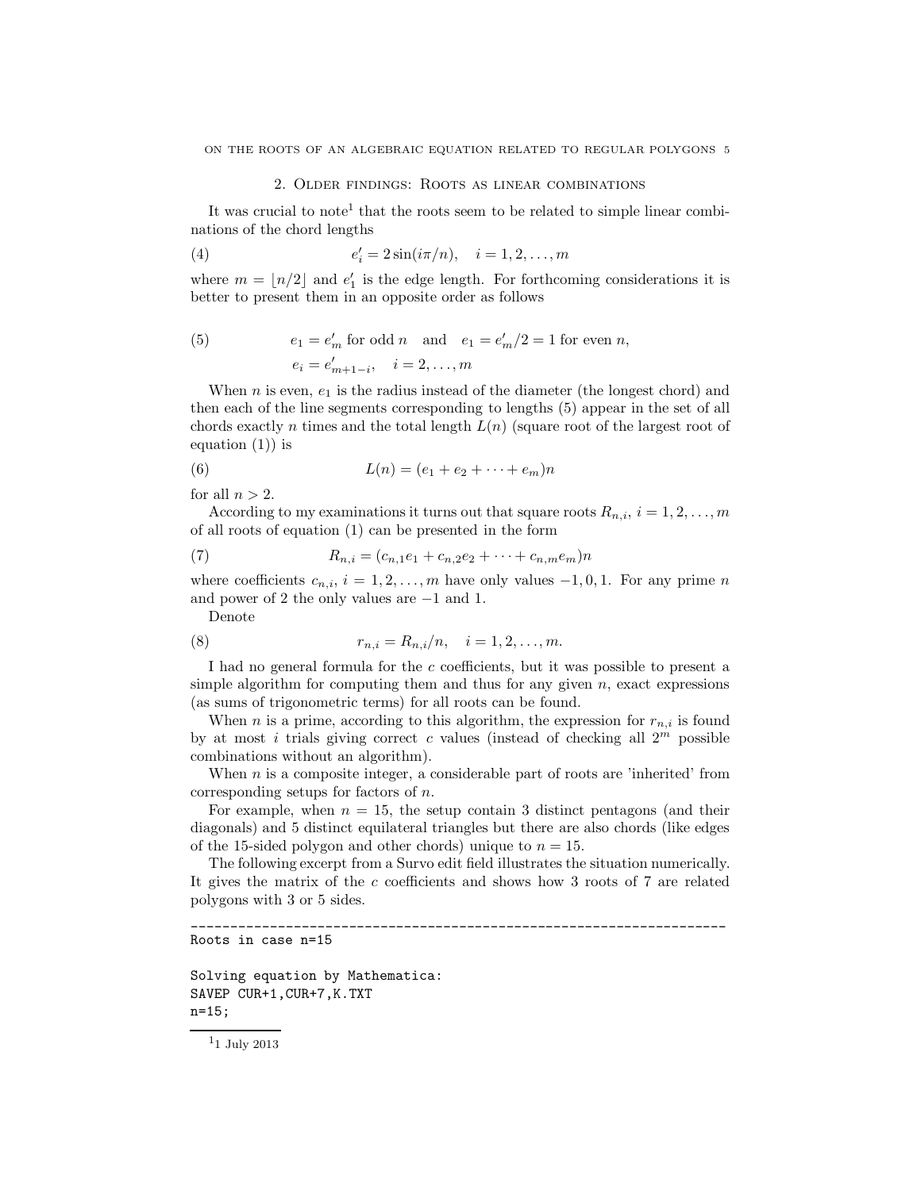# 2. Older findings: Roots as linear combinations

It was crucial to note<sup>1</sup> that the roots seem to be related to simple linear combinations of the chord lengths

(4) 
$$
e'_i = 2\sin(i\pi/n), \quad i = 1, 2, ..., m
$$

where  $m = \lfloor n/2 \rfloor$  and  $e'_1$  is the edge length. For forthcoming considerations it is better to present them in an opposite order as follows

(5) 
$$
e_1 = e'_m
$$
 for odd *n* and  $e_1 = e'_m/2 = 1$  for even *n*,  
 $e_i = e'_{m+1-i}, \quad i = 2, ..., m$ 

When n is even,  $e_1$  is the radius instead of the diameter (the longest chord) and then each of the line segments corresponding to lengths (5) appear in the set of all chords exactly n times and the total length  $L(n)$  (square root of the largest root of equation  $(1)$  is

(6) 
$$
L(n) = (e_1 + e_2 + \dots + e_m)n
$$

for all  $n > 2$ .

According to my examinations it turns out that square roots  $R_{n,i}$ ,  $i = 1, 2, ..., m$ of all roots of equation (1) can be presented in the form

(7) 
$$
R_{n,i} = (c_{n,1}e_1 + c_{n,2}e_2 + \cdots + c_{n,m}e_m)n
$$

where coefficients  $c_{n,i}$ ,  $i = 1, 2, ..., m$  have only values  $-1, 0, 1$ . For any prime n and power of 2 the only values are −1 and 1.

Denote

(8) 
$$
r_{n,i} = R_{n,i}/n, \quad i = 1, 2, ..., m.
$$

I had no general formula for the c coefficients, but it was possible to present a simple algorithm for computing them and thus for any given  $n$ , exact expressions (as sums of trigonometric terms) for all roots can be found.

When n is a prime, according to this algorithm, the expression for  $r_{n,i}$  is found by at most i trials giving correct c values (instead of checking all  $2<sup>m</sup>$  possible combinations without an algorithm).

When  $n$  is a composite integer, a considerable part of roots are 'inherited' from corresponding setups for factors of n.

For example, when  $n = 15$ , the setup contain 3 distinct pentagons (and their diagonals) and 5 distinct equilateral triangles but there are also chords (like edges of the 15-sided polygon and other chords) unique to  $n = 15$ .

The following excerpt from a Survo edit field illustrates the situation numerically. It gives the matrix of the c coefficients and shows how 3 roots of 7 are related polygons with 3 or 5 sides.

\_\_\_\_\_\_\_\_\_\_\_\_\_\_\_\_\_\_\_\_\_\_\_\_\_\_\_\_\_\_\_\_\_\_\_\_\_\_\_\_\_\_\_\_\_\_\_\_\_\_\_\_\_\_\_\_\_\_\_\_\_\_\_\_\_\_\_\_

```
Roots in case n=15
```

```
Solving equation by Mathematica:
SAVEP CUR+1,CUR+7,K.TXT
n=15;
```

```
^{\rm 11} July 2013
```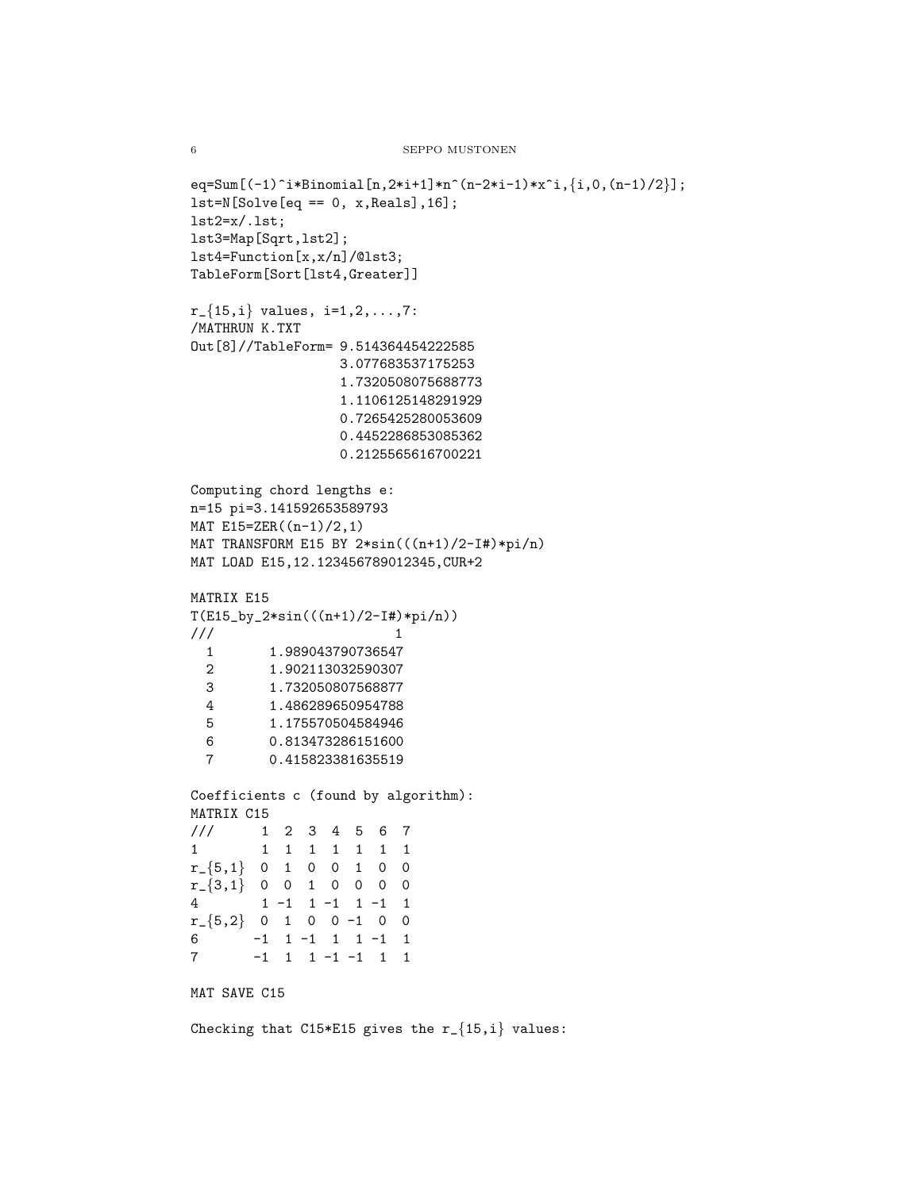```
eq=Sum[(-1)^i*Binomial[n,2*i+1]*n^(n-2*i-1)*x^i,{i,0,(n-1)/2}];
lst=N[Solve[eq == 0, x, Reals], 16];lst2=x/.lst;
lst3=Map[Sqrt,lst2];
lst4=Function[x,x/n]/@lst3;
TableForm[Sort[lst4,Greater]]
r_{-}{15,i} values, i=1,2,...,7:
/MATHRUN K.TXT
Out[8]//TableForm= 9.514364454222585
                 3.077683537175253
                 1.7320508075688773
                 1.1106125148291929
                 0.7265425280053609
                 0.4452286853085362
                 0.2125565616700221
Computing chord lengths e:
n=15 pi=3.141592653589793
MAT E15=ZER((n-1)/2,1)
MAT TRANSFORM E15 BY 2*sin(((n+1)/2-I#)*pi/n)
MAT LOAD E15,12.123456789012345,CUR+2
MATRIX E15
T(E15_by_2*sin(((n+1)/2-I#)*pi/n))\frac{1}{1} 1
 1 1.989043790736547
 2 1.902113032590307
 3 1.732050807568877
 4 1.486289650954788
 5 1.175570504584946
 6 0.813473286151600
 7 0.415823381635519
Coefficients c (found by algorithm):
MATRIX C15
/// 1 2 3 4 5 6 7
1 1 1 1 1 1 1 1
r_{-}\{5,1\} 0 1 0 0 1 0 0
r_{-}\{3,1\} 0 0 1 0 0 0 0
4 1 -1 1 -1 1 -1 1
r_{-}\{5,2\} 0 1 0 0 -1 0 0
6 -1 1 -1 1 1 -1 1
7 -1 1 1 -1 -1 1 1
MAT SAVE C15
Checking that C15*E15 gives the r_{\text{-}}{15,i} values:
```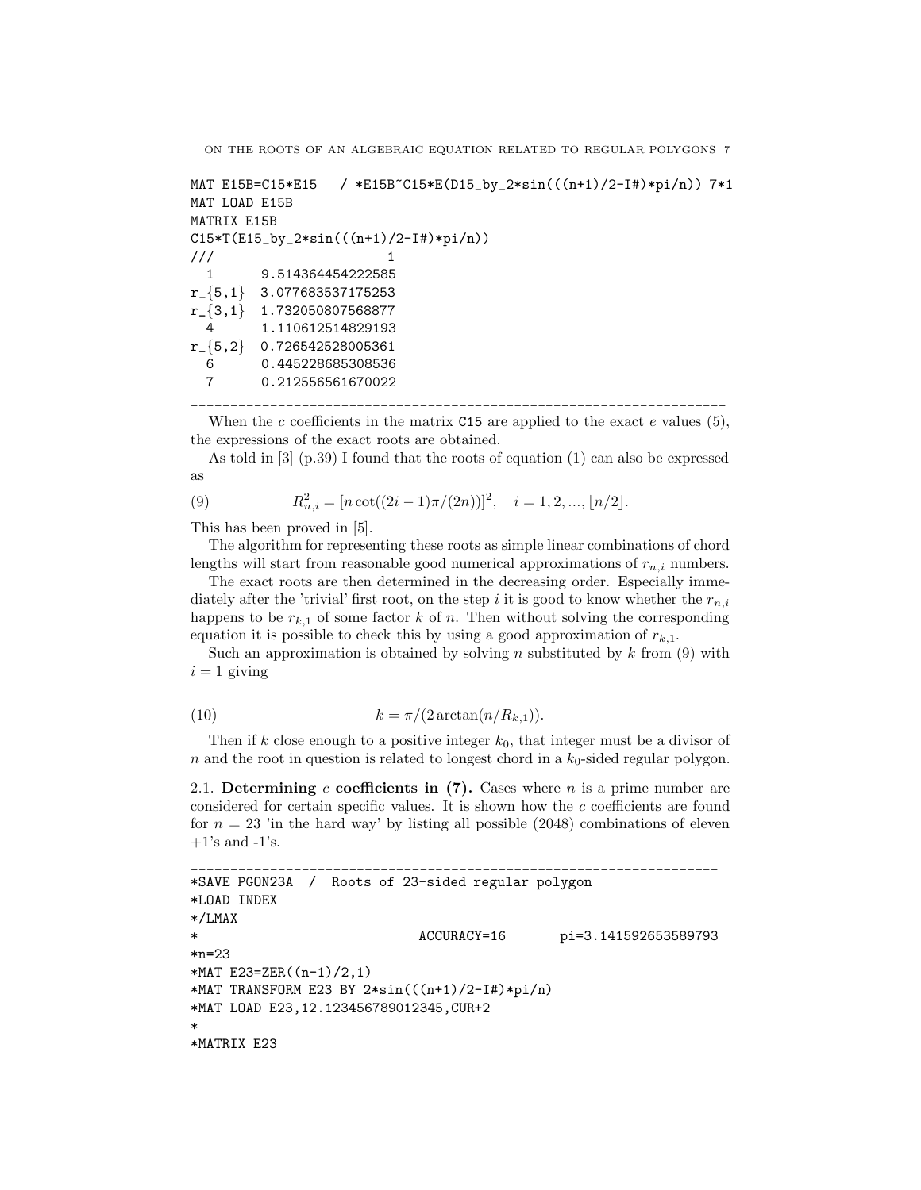```
MAT E15B=C15*E15 / *E15B~C15*E(D15_by_2*sin(((n+1)/2-I#)*pi/n)) 7*1
MAT LOAD E15B
MATRIX E15B
C15*T(E15_by_2*sin(((n+1)/2-I#)*pi/n))
\frac{1}{1} 1
  1 9.514364454222585
r_{-}{5,1} 3.077683537175253
r_{\text{-}}\{3,1\} 1.732050807568877
 4 1.110612514829193
r_{5,2} 0.726542528005361
 6 0.445228685308536
 7 0.212556561670022
```
\_\_\_\_\_\_\_\_\_\_\_\_\_\_\_\_\_\_\_\_\_\_\_\_\_\_\_\_\_\_\_\_\_\_\_\_\_\_\_\_\_\_\_\_\_\_\_\_\_\_\_\_\_\_\_\_\_\_\_\_\_\_\_\_\_\_\_\_

When the c coefficients in the matrix  $C15$  are applied to the exact e values  $(5)$ , the expressions of the exact roots are obtained.

As told in [3] (p.39) I found that the roots of equation (1) can also be expressed as

(9) 
$$
R_{n,i}^2 = [n \cot((2i-1)\pi/(2n))]^2, \quad i = 1, 2, ..., \lfloor n/2 \rfloor.
$$

This has been proved in [5].

The algorithm for representing these roots as simple linear combinations of chord lengths will start from reasonable good numerical approximations of  $r_{n,i}$  numbers.

The exact roots are then determined in the decreasing order. Especially immediately after the 'trivial' first root, on the step i it is good to know whether the  $r_{n,i}$ happens to be  $r_{k,1}$  of some factor k of n. Then without solving the corresponding equation it is possible to check this by using a good approximation of  $r_{k,1}$ .

Such an approximation is obtained by solving n substituted by  $k$  from (9) with  $i = 1$  giving

$$
(10) \t\t k = \pi/(2 \arctan(n/R_{k,1})).
$$

Then if k close enough to a positive integer  $k_0$ , that integer must be a divisor of  $n$  and the root in question is related to longest chord in a  $k_0$ -sided regular polygon.

2.1. Determining c coefficients in (7). Cases where n is a prime number are considered for certain specific values. It is shown how the c coefficients are found for  $n = 23$  'in the hard way' by listing all possible (2048) combinations of eleven  $+1$ 's and  $-1$ 's.

\_\_\_\_\_\_\_\_\_\_\_\_\_\_\_\_\_\_\_\_\_\_\_\_\_\_\_\_\_\_\_\_\_\_\_\_\_\_\_\_\_\_\_\_\_\_\_\_\_\_\_\_\_\_\_\_\_\_\_\_\_\_\_\_\_\_\_

```
*SAVE PGON23A / Roots of 23-sided regular polygon
*LOAD INDEX
*/LMAX
                            ACCURACY=16 pi=3.141592653589793
*n=23
*MAT E23=ZER((n-1)/2,1)*MAT TRANSFORM E23 BY 2*sin(((n+1)/2-I#)*pi/n)
*MAT LOAD E23,12.123456789012345,CUR+2
*
*MATRIX E23
```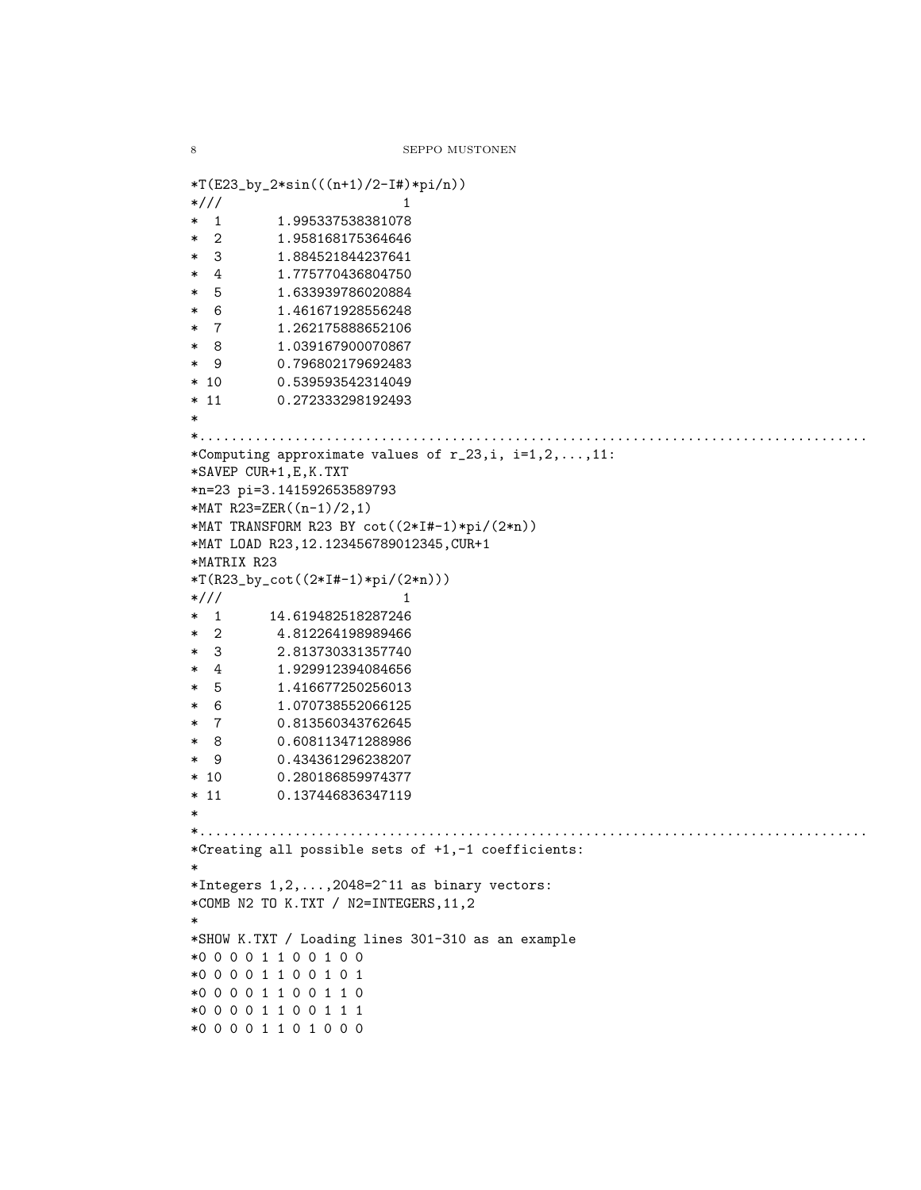```
*T(E23_by_2*sin(((n+1)/2-I#)*pi/n))
*/// 1
* 1 1.995337538381078
* 2 1.958168175364646
* 3 1.884521844237641
* 4 1.775770436804750
* 5 1.633939786020884
* 6 1.461671928556248
* 7 1.262175888652106
* 8 1.039167900070867
* 9 0.796802179692483
* 10 0.539593542314049
* 11 0.272333298192493
*
*.....................................................................................
*Computing approximate values of r_23,i, i=1,2,...,11:
*SAVEP CUR+1,E,K.TXT
*n=23 pi=3.141592653589793
*MAT R23=ZER((n-1)/2,1)*MAT TRANSFORM R23 BY cot((2*I#-1)*pi/(2*n))
*MAT LOAD R23,12.123456789012345,CUR+1
*MATRIX R23
*T(R23_by_cot((2*I#-1)*pi/(2*n)))
*/// 1
* 1 14.619482518287246
* 2 4.812264198989466
* 3 2.813730331357740
* 4 1.929912394084656
* 5 1.416677250256013
* 6 1.070738552066125
* 7 0.813560343762645
* 8 0.608113471288986
* 9 0.434361296238207
* 10 0.280186859974377
* 11 0.137446836347119
*
*.....................................................................................
*Creating all possible sets of +1,-1 coefficients:
*
*Integers 1, 2, \ldots, 2048 = 2^11 as binary vectors:
*COMB N2 TO K.TXT / N2=INTEGERS,11,2
*
*SHOW K.TXT / Loading lines 301-310 as an example
*0 0 0 0 1 1 0 0 1 0 0
*0 0 0 0 1 1 0 0 1 0 1
*0 0 0 0 1 1 0 0 1 1 0
*0 0 0 0 1 1 0 0 1 1 1
*0 0 0 0 1 1 0 1 0 0 0
```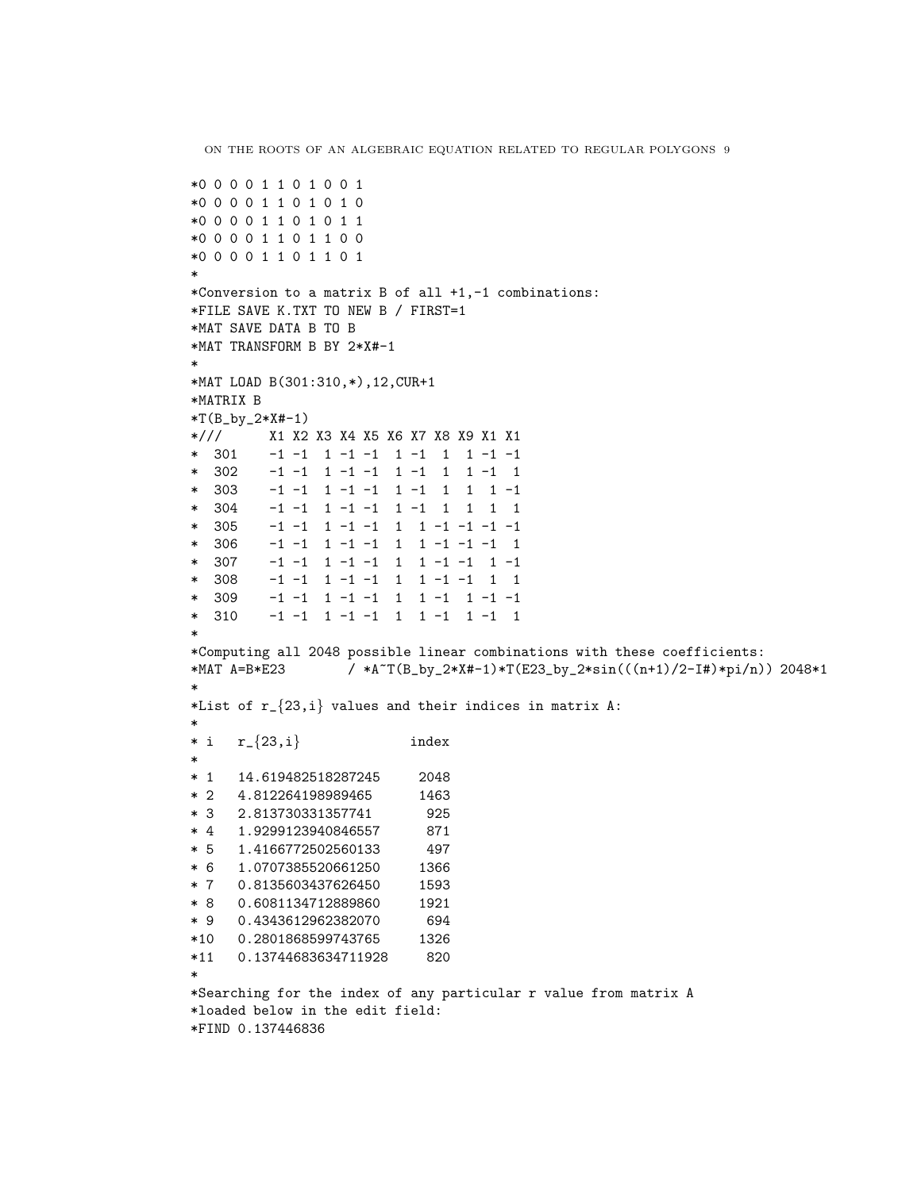```
*0 0 0 0 1 1 0 1 0 0 1
*0 0 0 0 1 1 0 1 0 1 0
*0 0 0 0 1 1 0 1 0 1 1
*0 0 0 0 1 1 0 1 1 0 0
*0 0 0 0 1 1 0 1 1 0 1
*
*Conversion to a matrix B of all +1,-1 combinations:
*FILE SAVE K.TXT TO NEW B / FIRST=1
*MAT SAVE DATA B TO B
*MAT TRANSFORM B BY 2*X#-1
*
*MAT LOAD B(301:310,*),12,CUR+1
*MATRIX B
*T(B_by_2*X#-1)*/// X1 X2 X3 X4 X5 X6 X7 X8 X9 X1 X1
        * 301 -1 -1 1 -1 -1 1 -1 1 1 -1 -1
* 302 -1 -1 1 -1 -1 1 -1 1 1 -1 1
        -1 -1 1 -1 -1 1 -1 1 1 -1* 304 -1 -1 1 -1 -1 1 -1 1 1 1 1
* 305 -1 -1 1 -1 -1 1 1 -1 -1 -1 -1
* 306 -1 -1 1 -1 -1 1 1 -1 -1 -1 1
         * 307 -1 -1 1 -1 -1 1 1 -1 -1 1 -1
* 308 -1 -1 1 -1 -1 1 1 -1 -1 1 1
* 309 -1 -1 1 -1 -1 1 1 -1 1 -1 -1
* 310 -1 -1 1 -1 -1 1 1 -1 1 -1 1
*
*Computing all 2048 possible linear combinations with these coefficients:
*MAT A=B*E23 / *A<sup>~</sup>T(B_by_2*X#-1)*T(E23_by_2*sin(((n+1)/2-I#)*pi/n)) 2048*1
*
*List of r_{-}{23,i} values and their indices in matrix A:
*
* i \t r_{23,i} index
*
* 1 14.619482518287245 2048
* 2 4.812264198989465 1463
* 3 2.813730331357741 925
* 4 1.9299123940846557 871
* 5 1.4166772502560133 497
* 6 1.0707385520661250 1366
* 7 0.8135603437626450 1593
* 8 0.6081134712889860 1921
* 9 0.4343612962382070 694
*10 0.2801868599743765 1326
*11 0.13744683634711928 820
*
*Searching for the index of any particular r value from matrix A
*loaded below in the edit field:
*FIND 0.137446836
```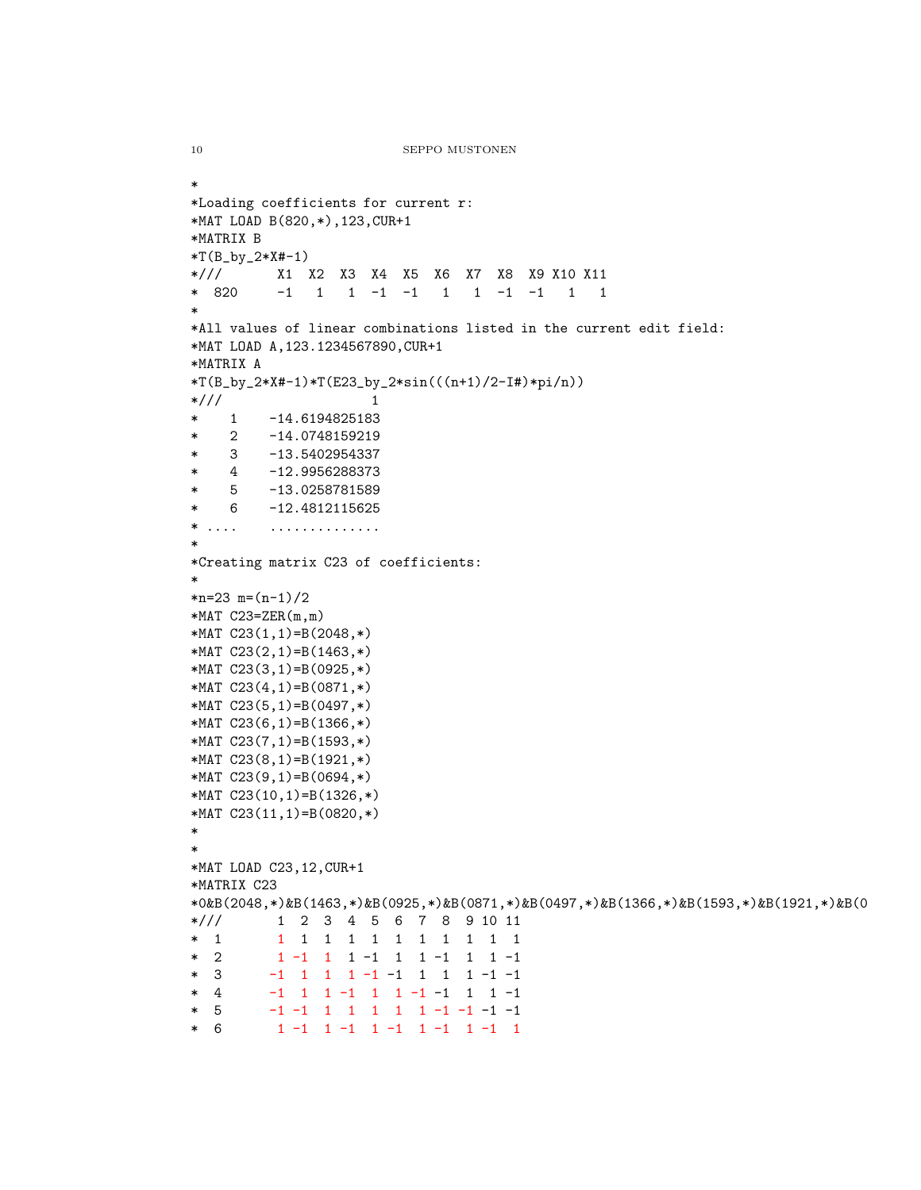```
*
*Loading coefficients for current r:
*MAT LOAD B(820,*),123,CUR+1
*MATRIX B
*T(B_by_2*X#-1)*/// X1 X2 X3 X4 X5 X6 X7 X8 X9 X10 X11
* 820 -1 1 1 -1 -1 1 1 -1 -1 1 1
*
*All values of linear combinations listed in the current edit field:
*MAT LOAD A,123.1234567890,CUR+1
*MATRIX A
*T(B_by_2*X#-1)*T(E23_by_2*sin((n+1)/2-I#)*pi/n))*/// 1
* 1 -14.6194825183
* 2 -14.0748159219
* 3 -13.5402954337
* 4 -12.9956288373
* 5 -13.0258781589
* 6 -12.4812115625
* .... ..............
*
*Creating matrix C23 of coefficients:
*
*n=23 m=(n-1)/2*MAT C23=ZER(m,m)*MAT C23(1,1)=B(2048,*)
*MAT C23(2,1)=B(1463,*)
*MAT C23(3,1)=B(0925,*)
*MAT C23(4,1)=B(0871,*)
*MAT C23(5,1)=B(0497,*)
*MAT C23(6,1)=B(1366,*)
*MAT C23(7,1)=B(1593,*)
*MAT C23(8,1)=B(1921,*)
*MAT C23(9,1)=B(0694,*)
*MAT C23(10,1)=B(1326,*)
*MAT C23(11,1)=B(0820,*)
*
*
*MAT LOAD C23,12,CUR+1
*MATRIX C23
*0&B(2048,*)&B(1463,*)&B(0925,*)&B(0871,*)&B(0497,*)&B(1366,*)&B(1593,*)&B(1921,*)&B(0
*/// 1 2 3 4 5 6 7 8 9 10 11
* 1 1 1 1 1 1 1 1 1 1 1 1
* 2 1 -1 1 1 -1 1 1 -1 1 1 -1
* 3 -1 1 1 1 -1 -1 1 1 1 -1 -1
* 4 -1 1 1 -1 1 1 -1 -1 1 1 -1
* 5 -1 -1 1 1 1 1 1 -1 -1 -1 -1
* 6 1 -1 1 -1 1 -1 1 -1 1 -1 1
```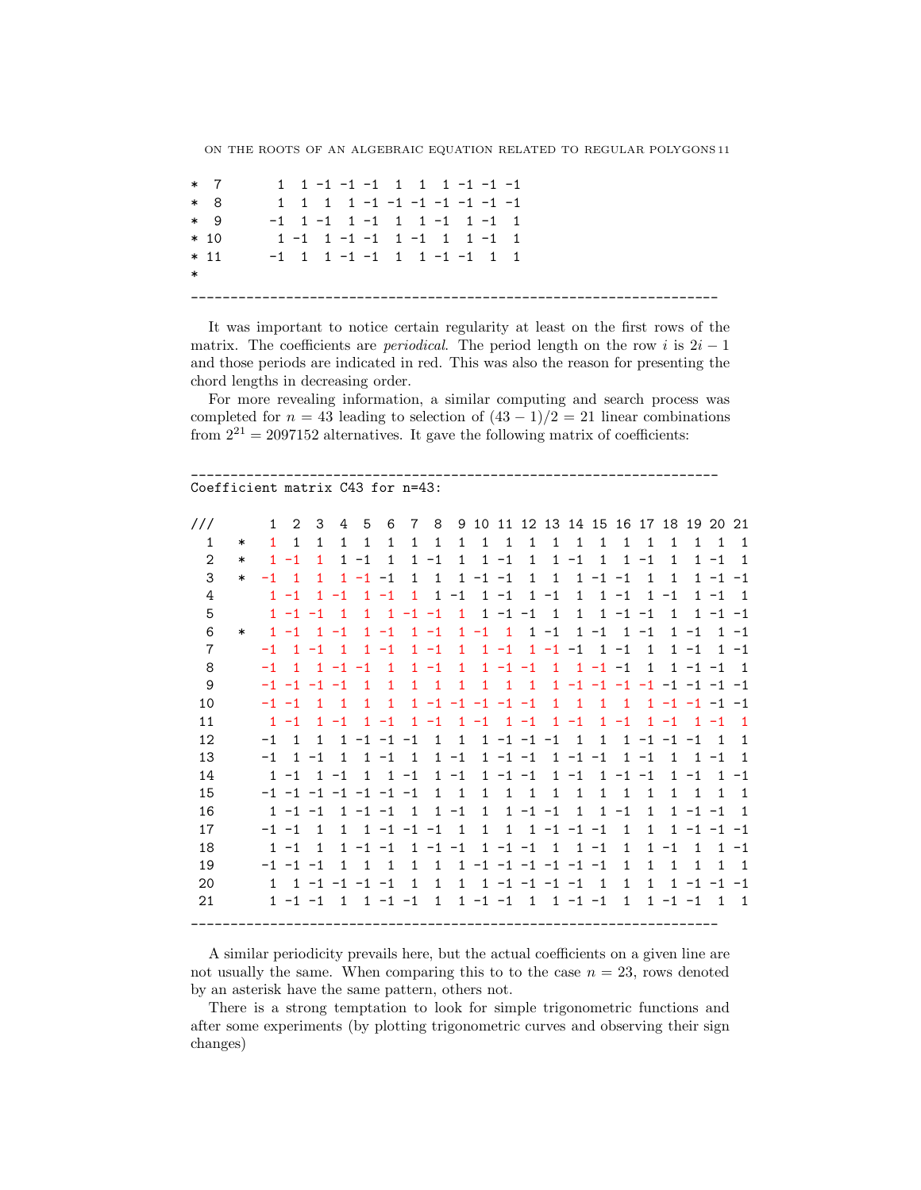\* 7 1 1 -1 -1 -1 1 1 1 -1 -1 -1 8 1 1 1 1 -1 -1 -1 -1 -1 -1 -1 \* 9 -1 1 -1 1 -1 1 1 -1 1 -1 1 \* 10 1 -1 1 -1 -1 1 -1 1 1 -1 1 \* 11 -1 1 1 -1 -1 1 1 -1 -1 1 1 \* \_\_\_\_\_\_\_\_\_\_\_\_\_\_\_\_\_\_\_\_\_\_\_\_\_\_\_\_\_\_\_\_\_\_\_\_\_\_\_\_\_\_\_\_\_\_\_\_\_\_\_\_\_\_\_\_\_\_\_\_\_\_\_\_\_\_\_

It was important to notice certain regularity at least on the first rows of the matrix. The coefficients are *periodical*. The period length on the row i is  $2i - 1$ and those periods are indicated in red. This was also the reason for presenting the chord lengths in decreasing order.

For more revealing information, a similar computing and search process was completed for  $n = 43$  leading to selection of  $(43 - 1)/2 = 21$  linear combinations from  $2^{21} = 2097152$  alternatives. It gave the following matrix of coefficients:

\_\_\_\_\_\_\_\_\_\_\_\_\_\_\_\_\_\_\_\_\_\_\_\_\_\_\_\_\_\_\_\_\_\_\_\_\_\_\_\_\_\_\_\_\_\_\_\_\_\_\_\_\_\_\_\_\_\_\_\_\_\_\_\_\_\_\_

#### Coefficient matrix C43 for n=43:

| $\mathbf{1}$<br>$\mathbf{1}$<br>$\mathbf{1}$<br>$\mathbf{1}$<br>$\overline{1}$<br>$\mathbf{1}$<br>$\mathbf{1}$<br>$\mathbf{1}$<br>$\mathbf{1}$<br>$\mathbf{1}$<br>$\mathbf{1}$<br>$\mathbf{1}$<br>$\mathbf{1}$<br>$\mathbf{1}$<br>$\mathbf{1}$<br>$\mathbf{1}$<br>$\mathbf{1}$<br>$\mathbf{1}$<br>1<br>1<br>$\ast$<br>$\mathbf{2}$<br>$-1$<br>$1 - 1$<br>$\mathbf{1}$<br>$1 - 1$<br>$1 - 1$<br>$\mathbf{1}$<br>$\mathbf{1}$<br>$\mathbf{1}$<br>$\mathbf{1}$<br>$-1$<br>$1 - 1$<br>$1 - 1$<br>$\mathbf{1}$<br>$\mathbf{1}$<br>$\mathbf{1}$<br>$\ast$<br>3<br>$\mathbf{1}$<br>$1 - 1 - 1$<br>$\mathbf{1}$<br>$1 - 1 - 1$<br>$\mathbf{1}$<br>$1 - 1 - 1$<br>$\mathbf{1}$<br>1<br>$1 - 1 - 1$<br>$-1$<br>$\overline{1}$<br>$\mathbf{1}$<br>1<br>$\ast$<br>$-1$<br>$-1$<br>$1 - 1$<br>$1 - 1$<br>$\mathbf{1}$<br>$1 - 1$<br>$1 - 1$<br>4<br>$1 - 1$<br>$\mathbf{1}$<br>$\mathbf{1}$<br>$\mathbf{1}$<br>$\mathbf{1}$<br>$\mathbf{1}$<br>$-1$<br>$-1$<br>5<br>$\mathbf{1}$<br>$\mathbf{1}$<br>$-1 -1$<br>$\mathbf{1}$<br>$1 - 1$<br>$-1$<br>$\overline{1}$<br>$\mathbf{1}$<br>$1 - 1 - 1$<br>$\mathbf{1}$<br>$1 - 1 - 1$<br>$1 - 1 - 1$<br>$\overline{1}$<br>$1 - 1$<br>6<br>$1 - 1$<br>$1 - 1$<br>$1 - 1$ 1<br>$1 - 1$<br>$1 - 1$<br>$1 - 1$<br>$1 - 1$<br>$\mathbf{1}$<br>$-1$<br>$\ast$<br>$\overline{7}$<br>$1 - 1$<br>$1 - 1$<br>$1 - 1 - 1$<br>$1 - 1$<br>$1 - 1$<br>$1 - 1$<br>$1 - 1$<br>$\mathbf{1}$<br>$\overline{1}$<br>$-1$<br>$\overline{\phantom{0}}$<br>8<br>$1 - 1$<br>$\mathbf{1}$<br>$1 - 1 - 1$<br>$\mathbf{1}$<br>$1 - 1 - 1$<br>$\overline{1}$<br>$1 - 1 - 1$<br>$\overline{1}$<br>$1 - 1 - 1$<br>$\overline{1}$<br>$-1$<br>9<br>$\mathbf{1}$<br>$\overline{1}$<br>$\mathbf{1}$<br>$\mathbf{1}$<br>$\overline{1}$<br>$\mathbf{1}$<br>$\overline{1}$<br>$1 - 1 - 1 - 1 - 1 - 1 - 1 - 1 - 1$<br>$-1$ $-1$ $-1$ $-1$<br>$\overline{1}$<br>$\overline{1}$<br>10<br>$\mathbf{1}$<br>$\mathbf{1}$<br>$1 - 1 - 1 - 1 - 1 - 1$<br>$\mathbf{1}$<br>1<br>$\overline{1}$<br>$1 - 1 - 1 - 1 - 1$<br>$-1 -1$<br>$\mathbf{1}$<br>$\overline{1}$<br>$1 - 1$ $1 - 1$<br>$1 - 1$<br>11<br>$-1$<br>$1 - 1$<br>$1 - 1$<br>$1 - 1$<br>$1 - 1$<br>$\mathbf{1}$<br>$-1$<br>$\mathbf{1}$<br>$1 - 1$<br>12<br>$1 - 1 - 1 - 1$<br>$1 - 1 - 1 - 1$<br>$\overline{1}$<br>$\mathbf{1}$<br>$\overline{1}$<br>$\mathbf{1}$<br>$1 - 1 - 1 - 1$<br>$-1$<br>$\overline{1}$<br>$\mathbf{1}$<br>13<br>$-1$<br>$\mathbf{1}$<br>$1 - 1 - 1$<br>$-1 -1$<br>$1 - 1$<br>$1 - 1$<br>$\mathbf{1}$<br>$-1$<br>$\mathbf{1}$<br>$\mathbf{1}$<br>$\mathbf{1}$<br>$-1$<br>$\mathbf{1}$<br>$\mathbf{1}$<br>$-1$<br>14<br>$1 - 1$<br>$1 - 1 - 1$<br>$1 - 1$<br>$1 - 1$<br>$\mathbf{1}$<br>$-1$<br>$\mathbf{1}$<br>1<br>$-1$<br>$\mathbf{1}$<br>$-1 -1$<br>$1 - 1$<br>15<br>$-1$ $-1$ $-1$ $-1$ $-1$ $-1$ $-1$<br>$\mathbf{1}$<br>$\mathbf{1}$<br>$\mathbf{1}$<br>$\mathbf{1}$<br>$\overline{1}$<br>$\mathbf{1}$<br>$\mathbf{1}$<br>$\mathbf{1}$<br>1<br>$\mathbf 1$<br>$\mathbf{1}$<br>$\mathbf{1}$<br>$1 - 1 - 1$<br>16<br>$1 - 1 - 1$<br>$\overline{1}$<br>$-1$<br>$\mathbf{1}$<br>$\mathbf{1}$<br>$\mathbf{1}$<br>$-1$<br>$\mathbf{1}$<br>$\mathbf{1}$<br>$1 - 1 - 1$<br>$1 - 1 - 1$<br>17<br>$\mathbf{1}$<br>$1 \t1 -1 -1 -1$<br>$\overline{1}$<br>$1 - 1 - 1 - 1$<br>$-1$ $-1$<br>$1 \t1 -1 -1 -1$<br>$\overline{1}$<br>$\mathbf{1}$<br>$\overline{1}$<br>18<br>$1 - 1 - 1$<br>$-1 -1$<br>$1 - 1 - 1$<br>$\overline{1}$<br>$1 - 1$<br>$\mathbf{1}$<br>$1 - 1$<br>$\mathbf{1}$<br>$\mathbf{1}$<br>$\mathbf{1}$<br>$-1$<br>$\mathbf{1}$<br>19<br>$\overline{1}$<br>$\mathbf{1}$<br>$1 - 1 - 1 - 1 - 1 - 1 - 1$<br>$-1$ $-1$ $-1$<br>$\mathbf{1}$<br>$\mathbf{1}$<br>$\mathbf{1}$<br>$\mathbf{1}$<br>$\mathbf{1}$<br>$\mathbf{1}$<br>$\mathbf{1}$<br>$1 \t1 -1 -1 -1 -1$<br>$1 \t1 -1 -1 -1 -1 1$<br>$\mathbf{1}$<br>$1 - 1 - 1 - 1$<br>20<br>1<br>$\mathbf{1}$<br>$\mathbf{1}$<br>$1 - 1 - 1$ 1 $-1 - 1$<br>$1 - 1 - 1$<br>21<br>$1 \quad 1 \quad -1 \quad -1$<br>$\overline{1}$<br>$\overline{1}$<br>$1 - 1 - 1$ | $\frac{1}{2}$ | $\mathbf{1}$ | 2 | 3 | 4 | 5 | 6 | $\overline{7}$ | 8 | 9 |  |  |  |  | 10 11 12 13 14 15 16 17 18 19 20 21 |                |                |
|-----------------------------------------------------------------------------------------------------------------------------------------------------------------------------------------------------------------------------------------------------------------------------------------------------------------------------------------------------------------------------------------------------------------------------------------------------------------------------------------------------------------------------------------------------------------------------------------------------------------------------------------------------------------------------------------------------------------------------------------------------------------------------------------------------------------------------------------------------------------------------------------------------------------------------------------------------------------------------------------------------------------------------------------------------------------------------------------------------------------------------------------------------------------------------------------------------------------------------------------------------------------------------------------------------------------------------------------------------------------------------------------------------------------------------------------------------------------------------------------------------------------------------------------------------------------------------------------------------------------------------------------------------------------------------------------------------------------------------------------------------------------------------------------------------------------------------------------------------------------------------------------------------------------------------------------------------------------------------------------------------------------------------------------------------------------------------------------------------------------------------------------------------------------------------------------------------------------------------------------------------------------------------------------------------------------------------------------------------------------------------------------------------------------------------------------------------------------------------------------------------------------------------------------------------------------------------------------------------------------------------------------------------------------------------------------------------------------------------------------------------------------------------------------------------------------------------------------------------------------------------------------------------------------------------------------------------------------------------------------------------------------------------------------------------------------------------------------------------------------------------------------------------------------------------------------------------------------------------------------------------------------------------------------------------------------------------------------------------------------------------------------------------------------------------------------------------------------------------------------------------------------------------------------------------------------------------------------------------------------------------------------------------------------------------------------------------------------------------------------------------------------------------------------------------------------------------------------------------------------------------------------------------------------------------------------------------------------------------------|---------------|--------------|---|---|---|---|---|----------------|---|---|--|--|--|--|-------------------------------------|----------------|----------------|
|                                                                                                                                                                                                                                                                                                                                                                                                                                                                                                                                                                                                                                                                                                                                                                                                                                                                                                                                                                                                                                                                                                                                                                                                                                                                                                                                                                                                                                                                                                                                                                                                                                                                                                                                                                                                                                                                                                                                                                                                                                                                                                                                                                                                                                                                                                                                                                                                                                                                                                                                                                                                                                                                                                                                                                                                                                                                                                                                                                                                                                                                                                                                                                                                                                                                                                                                                                                                                                                                                                                                                                                                                                                                                                                                                                                                                                                                                                                                                                                   |               |              |   |   |   |   |   |                |   |   |  |  |  |  |                                     | $\mathbf{1}$   | $\mathbf{1}$   |
|                                                                                                                                                                                                                                                                                                                                                                                                                                                                                                                                                                                                                                                                                                                                                                                                                                                                                                                                                                                                                                                                                                                                                                                                                                                                                                                                                                                                                                                                                                                                                                                                                                                                                                                                                                                                                                                                                                                                                                                                                                                                                                                                                                                                                                                                                                                                                                                                                                                                                                                                                                                                                                                                                                                                                                                                                                                                                                                                                                                                                                                                                                                                                                                                                                                                                                                                                                                                                                                                                                                                                                                                                                                                                                                                                                                                                                                                                                                                                                                   |               |              |   |   |   |   |   |                |   |   |  |  |  |  |                                     |                | $\overline{1}$ |
|                                                                                                                                                                                                                                                                                                                                                                                                                                                                                                                                                                                                                                                                                                                                                                                                                                                                                                                                                                                                                                                                                                                                                                                                                                                                                                                                                                                                                                                                                                                                                                                                                                                                                                                                                                                                                                                                                                                                                                                                                                                                                                                                                                                                                                                                                                                                                                                                                                                                                                                                                                                                                                                                                                                                                                                                                                                                                                                                                                                                                                                                                                                                                                                                                                                                                                                                                                                                                                                                                                                                                                                                                                                                                                                                                                                                                                                                                                                                                                                   |               |              |   |   |   |   |   |                |   |   |  |  |  |  |                                     |                |                |
|                                                                                                                                                                                                                                                                                                                                                                                                                                                                                                                                                                                                                                                                                                                                                                                                                                                                                                                                                                                                                                                                                                                                                                                                                                                                                                                                                                                                                                                                                                                                                                                                                                                                                                                                                                                                                                                                                                                                                                                                                                                                                                                                                                                                                                                                                                                                                                                                                                                                                                                                                                                                                                                                                                                                                                                                                                                                                                                                                                                                                                                                                                                                                                                                                                                                                                                                                                                                                                                                                                                                                                                                                                                                                                                                                                                                                                                                                                                                                                                   |               |              |   |   |   |   |   |                |   |   |  |  |  |  |                                     |                | $\overline{1}$ |
|                                                                                                                                                                                                                                                                                                                                                                                                                                                                                                                                                                                                                                                                                                                                                                                                                                                                                                                                                                                                                                                                                                                                                                                                                                                                                                                                                                                                                                                                                                                                                                                                                                                                                                                                                                                                                                                                                                                                                                                                                                                                                                                                                                                                                                                                                                                                                                                                                                                                                                                                                                                                                                                                                                                                                                                                                                                                                                                                                                                                                                                                                                                                                                                                                                                                                                                                                                                                                                                                                                                                                                                                                                                                                                                                                                                                                                                                                                                                                                                   |               |              |   |   |   |   |   |                |   |   |  |  |  |  |                                     |                |                |
|                                                                                                                                                                                                                                                                                                                                                                                                                                                                                                                                                                                                                                                                                                                                                                                                                                                                                                                                                                                                                                                                                                                                                                                                                                                                                                                                                                                                                                                                                                                                                                                                                                                                                                                                                                                                                                                                                                                                                                                                                                                                                                                                                                                                                                                                                                                                                                                                                                                                                                                                                                                                                                                                                                                                                                                                                                                                                                                                                                                                                                                                                                                                                                                                                                                                                                                                                                                                                                                                                                                                                                                                                                                                                                                                                                                                                                                                                                                                                                                   |               |              |   |   |   |   |   |                |   |   |  |  |  |  |                                     |                | $1 - 1$        |
|                                                                                                                                                                                                                                                                                                                                                                                                                                                                                                                                                                                                                                                                                                                                                                                                                                                                                                                                                                                                                                                                                                                                                                                                                                                                                                                                                                                                                                                                                                                                                                                                                                                                                                                                                                                                                                                                                                                                                                                                                                                                                                                                                                                                                                                                                                                                                                                                                                                                                                                                                                                                                                                                                                                                                                                                                                                                                                                                                                                                                                                                                                                                                                                                                                                                                                                                                                                                                                                                                                                                                                                                                                                                                                                                                                                                                                                                                                                                                                                   |               |              |   |   |   |   |   |                |   |   |  |  |  |  |                                     |                | $1 - 1$        |
|                                                                                                                                                                                                                                                                                                                                                                                                                                                                                                                                                                                                                                                                                                                                                                                                                                                                                                                                                                                                                                                                                                                                                                                                                                                                                                                                                                                                                                                                                                                                                                                                                                                                                                                                                                                                                                                                                                                                                                                                                                                                                                                                                                                                                                                                                                                                                                                                                                                                                                                                                                                                                                                                                                                                                                                                                                                                                                                                                                                                                                                                                                                                                                                                                                                                                                                                                                                                                                                                                                                                                                                                                                                                                                                                                                                                                                                                                                                                                                                   |               |              |   |   |   |   |   |                |   |   |  |  |  |  |                                     |                | $\overline{1}$ |
|                                                                                                                                                                                                                                                                                                                                                                                                                                                                                                                                                                                                                                                                                                                                                                                                                                                                                                                                                                                                                                                                                                                                                                                                                                                                                                                                                                                                                                                                                                                                                                                                                                                                                                                                                                                                                                                                                                                                                                                                                                                                                                                                                                                                                                                                                                                                                                                                                                                                                                                                                                                                                                                                                                                                                                                                                                                                                                                                                                                                                                                                                                                                                                                                                                                                                                                                                                                                                                                                                                                                                                                                                                                                                                                                                                                                                                                                                                                                                                                   |               |              |   |   |   |   |   |                |   |   |  |  |  |  |                                     |                |                |
|                                                                                                                                                                                                                                                                                                                                                                                                                                                                                                                                                                                                                                                                                                                                                                                                                                                                                                                                                                                                                                                                                                                                                                                                                                                                                                                                                                                                                                                                                                                                                                                                                                                                                                                                                                                                                                                                                                                                                                                                                                                                                                                                                                                                                                                                                                                                                                                                                                                                                                                                                                                                                                                                                                                                                                                                                                                                                                                                                                                                                                                                                                                                                                                                                                                                                                                                                                                                                                                                                                                                                                                                                                                                                                                                                                                                                                                                                                                                                                                   |               |              |   |   |   |   |   |                |   |   |  |  |  |  |                                     |                |                |
|                                                                                                                                                                                                                                                                                                                                                                                                                                                                                                                                                                                                                                                                                                                                                                                                                                                                                                                                                                                                                                                                                                                                                                                                                                                                                                                                                                                                                                                                                                                                                                                                                                                                                                                                                                                                                                                                                                                                                                                                                                                                                                                                                                                                                                                                                                                                                                                                                                                                                                                                                                                                                                                                                                                                                                                                                                                                                                                                                                                                                                                                                                                                                                                                                                                                                                                                                                                                                                                                                                                                                                                                                                                                                                                                                                                                                                                                                                                                                                                   |               |              |   |   |   |   |   |                |   |   |  |  |  |  |                                     |                | $\overline{1}$ |
|                                                                                                                                                                                                                                                                                                                                                                                                                                                                                                                                                                                                                                                                                                                                                                                                                                                                                                                                                                                                                                                                                                                                                                                                                                                                                                                                                                                                                                                                                                                                                                                                                                                                                                                                                                                                                                                                                                                                                                                                                                                                                                                                                                                                                                                                                                                                                                                                                                                                                                                                                                                                                                                                                                                                                                                                                                                                                                                                                                                                                                                                                                                                                                                                                                                                                                                                                                                                                                                                                                                                                                                                                                                                                                                                                                                                                                                                                                                                                                                   |               |              |   |   |   |   |   |                |   |   |  |  |  |  |                                     | $\overline{1}$ | $\mathbf{1}$   |
|                                                                                                                                                                                                                                                                                                                                                                                                                                                                                                                                                                                                                                                                                                                                                                                                                                                                                                                                                                                                                                                                                                                                                                                                                                                                                                                                                                                                                                                                                                                                                                                                                                                                                                                                                                                                                                                                                                                                                                                                                                                                                                                                                                                                                                                                                                                                                                                                                                                                                                                                                                                                                                                                                                                                                                                                                                                                                                                                                                                                                                                                                                                                                                                                                                                                                                                                                                                                                                                                                                                                                                                                                                                                                                                                                                                                                                                                                                                                                                                   |               |              |   |   |   |   |   |                |   |   |  |  |  |  |                                     |                | $\mathbf{1}$   |
|                                                                                                                                                                                                                                                                                                                                                                                                                                                                                                                                                                                                                                                                                                                                                                                                                                                                                                                                                                                                                                                                                                                                                                                                                                                                                                                                                                                                                                                                                                                                                                                                                                                                                                                                                                                                                                                                                                                                                                                                                                                                                                                                                                                                                                                                                                                                                                                                                                                                                                                                                                                                                                                                                                                                                                                                                                                                                                                                                                                                                                                                                                                                                                                                                                                                                                                                                                                                                                                                                                                                                                                                                                                                                                                                                                                                                                                                                                                                                                                   |               |              |   |   |   |   |   |                |   |   |  |  |  |  |                                     | $\mathbf{1}$   | $-1$           |
|                                                                                                                                                                                                                                                                                                                                                                                                                                                                                                                                                                                                                                                                                                                                                                                                                                                                                                                                                                                                                                                                                                                                                                                                                                                                                                                                                                                                                                                                                                                                                                                                                                                                                                                                                                                                                                                                                                                                                                                                                                                                                                                                                                                                                                                                                                                                                                                                                                                                                                                                                                                                                                                                                                                                                                                                                                                                                                                                                                                                                                                                                                                                                                                                                                                                                                                                                                                                                                                                                                                                                                                                                                                                                                                                                                                                                                                                                                                                                                                   |               |              |   |   |   |   |   |                |   |   |  |  |  |  |                                     | $\mathbf{1}$   | - 1            |
|                                                                                                                                                                                                                                                                                                                                                                                                                                                                                                                                                                                                                                                                                                                                                                                                                                                                                                                                                                                                                                                                                                                                                                                                                                                                                                                                                                                                                                                                                                                                                                                                                                                                                                                                                                                                                                                                                                                                                                                                                                                                                                                                                                                                                                                                                                                                                                                                                                                                                                                                                                                                                                                                                                                                                                                                                                                                                                                                                                                                                                                                                                                                                                                                                                                                                                                                                                                                                                                                                                                                                                                                                                                                                                                                                                                                                                                                                                                                                                                   |               |              |   |   |   |   |   |                |   |   |  |  |  |  |                                     |                | $\overline{1}$ |
|                                                                                                                                                                                                                                                                                                                                                                                                                                                                                                                                                                                                                                                                                                                                                                                                                                                                                                                                                                                                                                                                                                                                                                                                                                                                                                                                                                                                                                                                                                                                                                                                                                                                                                                                                                                                                                                                                                                                                                                                                                                                                                                                                                                                                                                                                                                                                                                                                                                                                                                                                                                                                                                                                                                                                                                                                                                                                                                                                                                                                                                                                                                                                                                                                                                                                                                                                                                                                                                                                                                                                                                                                                                                                                                                                                                                                                                                                                                                                                                   |               |              |   |   |   |   |   |                |   |   |  |  |  |  |                                     |                |                |
|                                                                                                                                                                                                                                                                                                                                                                                                                                                                                                                                                                                                                                                                                                                                                                                                                                                                                                                                                                                                                                                                                                                                                                                                                                                                                                                                                                                                                                                                                                                                                                                                                                                                                                                                                                                                                                                                                                                                                                                                                                                                                                                                                                                                                                                                                                                                                                                                                                                                                                                                                                                                                                                                                                                                                                                                                                                                                                                                                                                                                                                                                                                                                                                                                                                                                                                                                                                                                                                                                                                                                                                                                                                                                                                                                                                                                                                                                                                                                                                   |               |              |   |   |   |   |   |                |   |   |  |  |  |  |                                     |                | $1 - 1$        |
|                                                                                                                                                                                                                                                                                                                                                                                                                                                                                                                                                                                                                                                                                                                                                                                                                                                                                                                                                                                                                                                                                                                                                                                                                                                                                                                                                                                                                                                                                                                                                                                                                                                                                                                                                                                                                                                                                                                                                                                                                                                                                                                                                                                                                                                                                                                                                                                                                                                                                                                                                                                                                                                                                                                                                                                                                                                                                                                                                                                                                                                                                                                                                                                                                                                                                                                                                                                                                                                                                                                                                                                                                                                                                                                                                                                                                                                                                                                                                                                   |               |              |   |   |   |   |   |                |   |   |  |  |  |  |                                     | $\mathbf{1}$   | $\overline{1}$ |
|                                                                                                                                                                                                                                                                                                                                                                                                                                                                                                                                                                                                                                                                                                                                                                                                                                                                                                                                                                                                                                                                                                                                                                                                                                                                                                                                                                                                                                                                                                                                                                                                                                                                                                                                                                                                                                                                                                                                                                                                                                                                                                                                                                                                                                                                                                                                                                                                                                                                                                                                                                                                                                                                                                                                                                                                                                                                                                                                                                                                                                                                                                                                                                                                                                                                                                                                                                                                                                                                                                                                                                                                                                                                                                                                                                                                                                                                                                                                                                                   |               |              |   |   |   |   |   |                |   |   |  |  |  |  |                                     |                |                |
|                                                                                                                                                                                                                                                                                                                                                                                                                                                                                                                                                                                                                                                                                                                                                                                                                                                                                                                                                                                                                                                                                                                                                                                                                                                                                                                                                                                                                                                                                                                                                                                                                                                                                                                                                                                                                                                                                                                                                                                                                                                                                                                                                                                                                                                                                                                                                                                                                                                                                                                                                                                                                                                                                                                                                                                                                                                                                                                                                                                                                                                                                                                                                                                                                                                                                                                                                                                                                                                                                                                                                                                                                                                                                                                                                                                                                                                                                                                                                                                   |               |              |   |   |   |   |   |                |   |   |  |  |  |  |                                     | $\overline{1}$ | $\overline{1}$ |

A similar periodicity prevails here, but the actual coefficients on a given line are not usually the same. When comparing this to to the case  $n = 23$ , rows denoted by an asterisk have the same pattern, others not.

There is a strong temptation to look for simple trigonometric functions and after some experiments (by plotting trigonometric curves and observing their sign changes)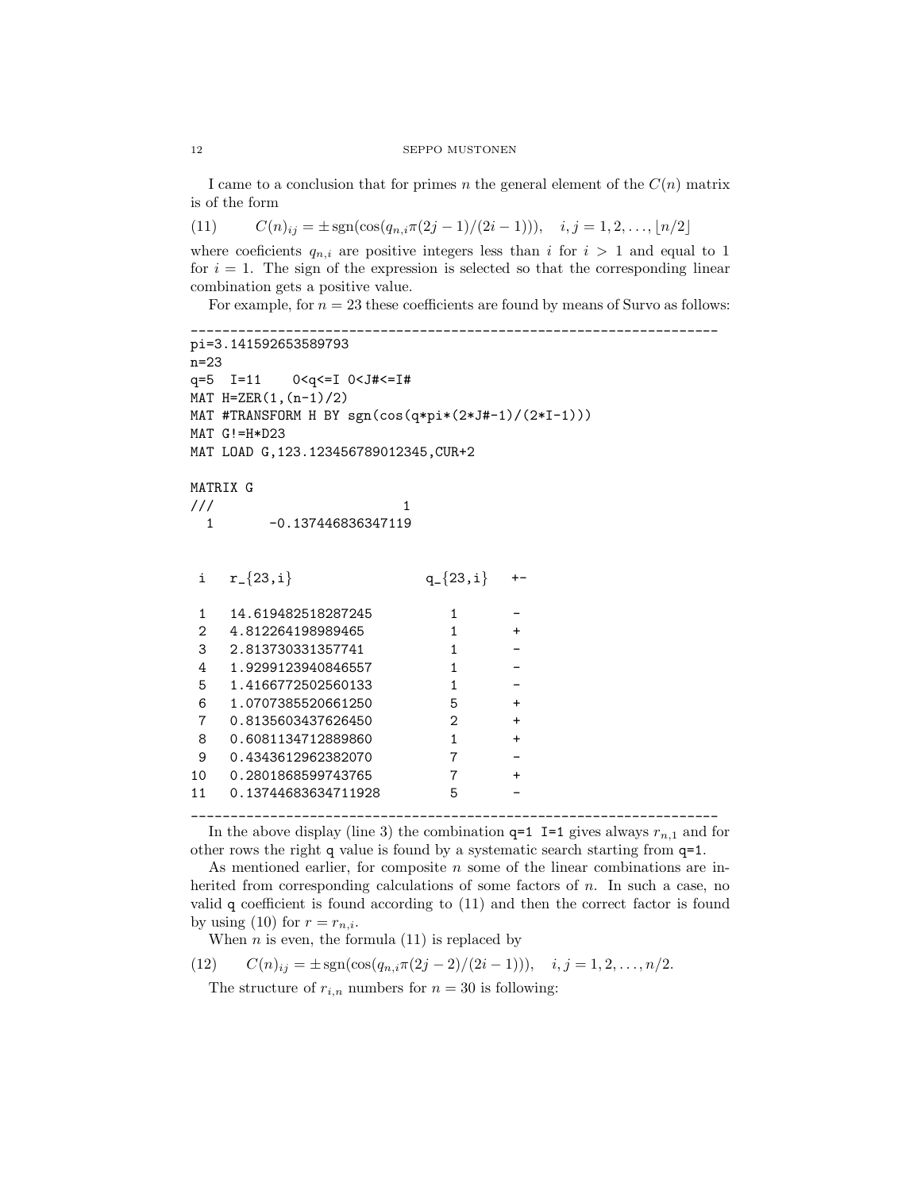I came to a conclusion that for primes n the general element of the  $C(n)$  matrix is of the form

(11)  $C(n)_{ii} = \pm \text{sgn}(\cos(q_{n,i}\pi(2j-1)/(2i-1))), \quad i, j = 1, 2, \ldots, \lfloor n/2 \rfloor$ 

where coeficients  $q_{n,i}$  are positive integers less than i for  $i > 1$  and equal to 1 for  $i = 1$ . The sign of the expression is selected so that the corresponding linear combination gets a positive value.

For example, for  $n = 23$  these coefficients are found by means of Survo as follows:

```
___________________________________________________________________
pi=3.141592653589793
n=23
q=5 I=11 0<q<=I 0<J#<=I#
MAT H = ZER(1, (n-1)/2)MAT #TRANSFORM H BY sgn(cos(q*pi*(2*J#-1)/(2*I-1)))
MAT G!=H*D23
MAT LOAD G,123.123456789012345,CUR+2
MATRIX G
\frac{1}{2} 1
 1 -0.137446836347119
i r_{\text{-}}\{23,i\} q_{\text{-}}\{23,i\}1 14.619482518287245 1
2 4.812264198989465 1
3 2.813730331357741 1
4 1.9299123940846557 1
5 1.4166772502560133 1 -
6 1.0707385520661250 5 +
7 0.8135603437626450 2 +
8 0.6081134712889860 1 +
9 0.4343612962382070 7
10 0.2801868599743765 7 +
11 0.13744683634711928 5
___________________________________________________________________
```
In the above display (line 3) the combination  $q=1$  I=1 gives always  $r_{n,1}$  and for other rows the right q value is found by a systematic search starting from q=1.

As mentioned earlier, for composite  $n$  some of the linear combinations are inherited from corresponding calculations of some factors of  $n$ . In such a case, no valid q coefficient is found according to (11) and then the correct factor is found by using (10) for  $r = r_{n,i}$ .

When  $n$  is even, the formula  $(11)$  is replaced by

(12) 
$$
C(n)_{ij} = \pm \text{sgn}(\cos(q_{n,i}\pi(2j-2)/(2i-1))), \quad i, j = 1, 2, \dots, n/2.
$$

The structure of  $r_{i,n}$  numbers for  $n = 30$  is following: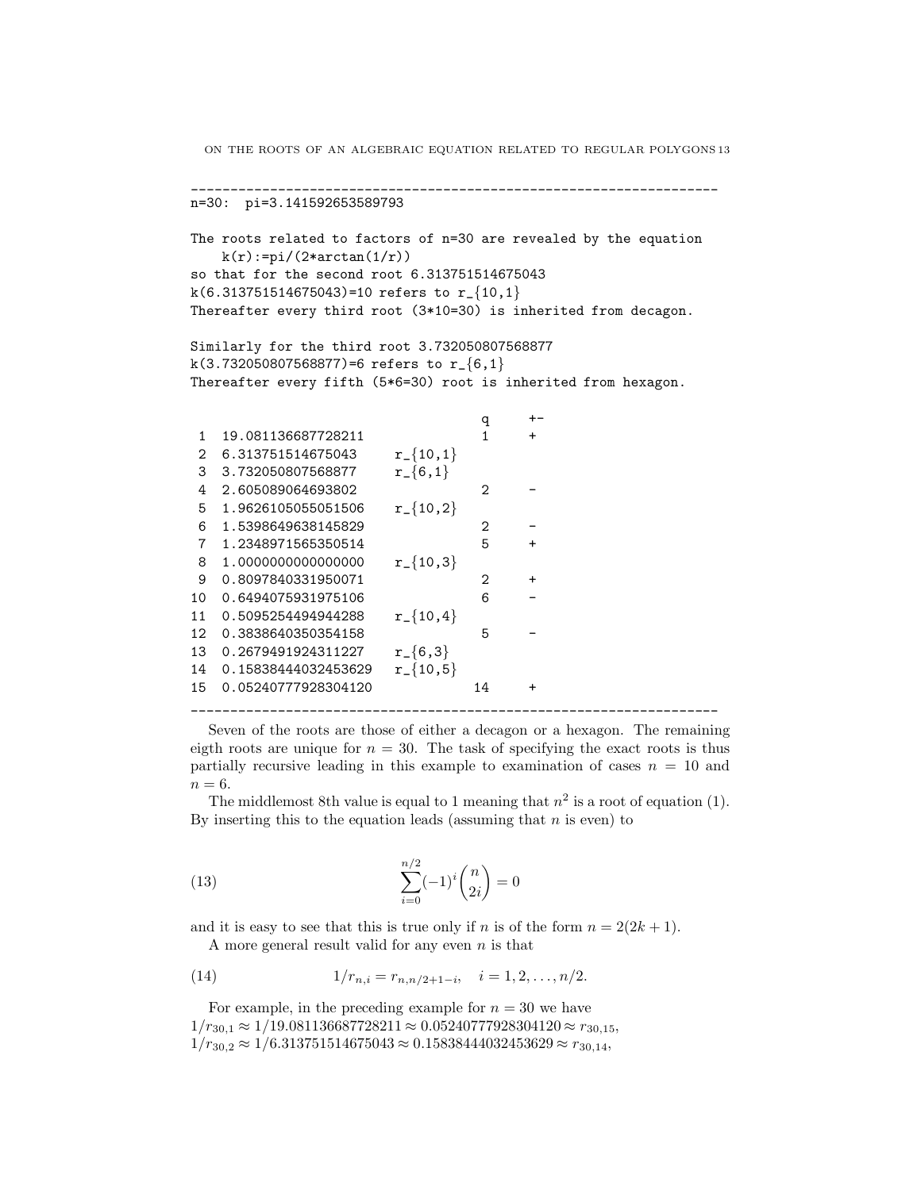```
___________________________________________________________________
n=30: pi=3.141592653589793
The roots related to factors of n=30 are revealed by the equation
    k(r):=pi/(2*arctan(1/r))so that for the second root 6.313751514675043
k(6.313751514675043)=10 refers to r_{-1}{10,1}
Thereafter every third root (3*10=30) is inherited from decagon.
Similarly for the third root 3.732050807568877
k(3.732050807568877)=6 refers to r_{-}{6,1}
```
Thereafter every fifth (5\*6=30) root is inherited from hexagon.

|                             |                     |                | q  |           |  |  |
|-----------------------------|---------------------|----------------|----|-----------|--|--|
| 1                           | 19.081136687728211  |                | 1  | $\ddot{}$ |  |  |
| $\mathcal{D}_{\mathcal{L}}$ | 6.313751514675043   | $r_{-}$ {10,1} |    |           |  |  |
| 3                           | 3.732050807568877   | $r_{-}$ {6,1}  |    |           |  |  |
| 4                           | 2.605089064693802   |                | 2  |           |  |  |
| 5                           | 1.9626105055051506  | $r_{-}$ {10,2} |    |           |  |  |
| 6                           | 1.5398649638145829  |                | 2  |           |  |  |
| $\overline{7}$              | 1.2348971565350514  |                | 5  | $\ddot{}$ |  |  |
| 8                           | 1.0000000000000000  | $r_{-}$ {10,3} |    |           |  |  |
| 9                           | 0.8097840331950071  |                | 2  | $\ddot{}$ |  |  |
| 10                          | 0.6494075931975106  |                | 6  |           |  |  |
| 11                          | 0.5095254494944288  | $r_{-}$ {10,4} |    |           |  |  |
| 12                          | 0.3838640350354158  |                | 5  |           |  |  |
| 13                          | 0.2679491924311227  | $r_{-}$ {6,3}  |    |           |  |  |
| 14                          | 0.15838444032453629 | $r_{-}$ {10,5} |    |           |  |  |
| 15                          | 0.05240777928304120 |                | 14 | $\ddot{}$ |  |  |
|                             |                     |                |    |           |  |  |

Seven of the roots are those of either a decagon or a hexagon. The remaining eigth roots are unique for  $n = 30$ . The task of specifying the exact roots is thus partially recursive leading in this example to examination of cases  $n = 10$  and  $n = 6$ .

The middlemost 8th value is equal to 1 meaning that  $n^2$  is a root of equation (1). By inserting this to the equation leads (assuming that  $n$  is even) to

(13) 
$$
\sum_{i=0}^{n/2} (-1)^i {n \choose 2i} = 0
$$

and it is easy to see that this is true only if n is of the form  $n = 2(2k + 1)$ . A more general result valid for any even  $n$  is that

(14) 
$$
1/r_{n,i} = r_{n,n/2+1-i}, \quad i = 1, 2, ..., n/2.
$$

For example, in the preceding example for  $n = 30$  we have  $1/r_{30.1} \approx 1/19.081136687728211 \approx 0.05240777928304120 \approx r_{30.15}$  $1/r_{30.2} \approx 1/6.313751514675043 \approx 0.15838444032453629 \approx r_{30.14}$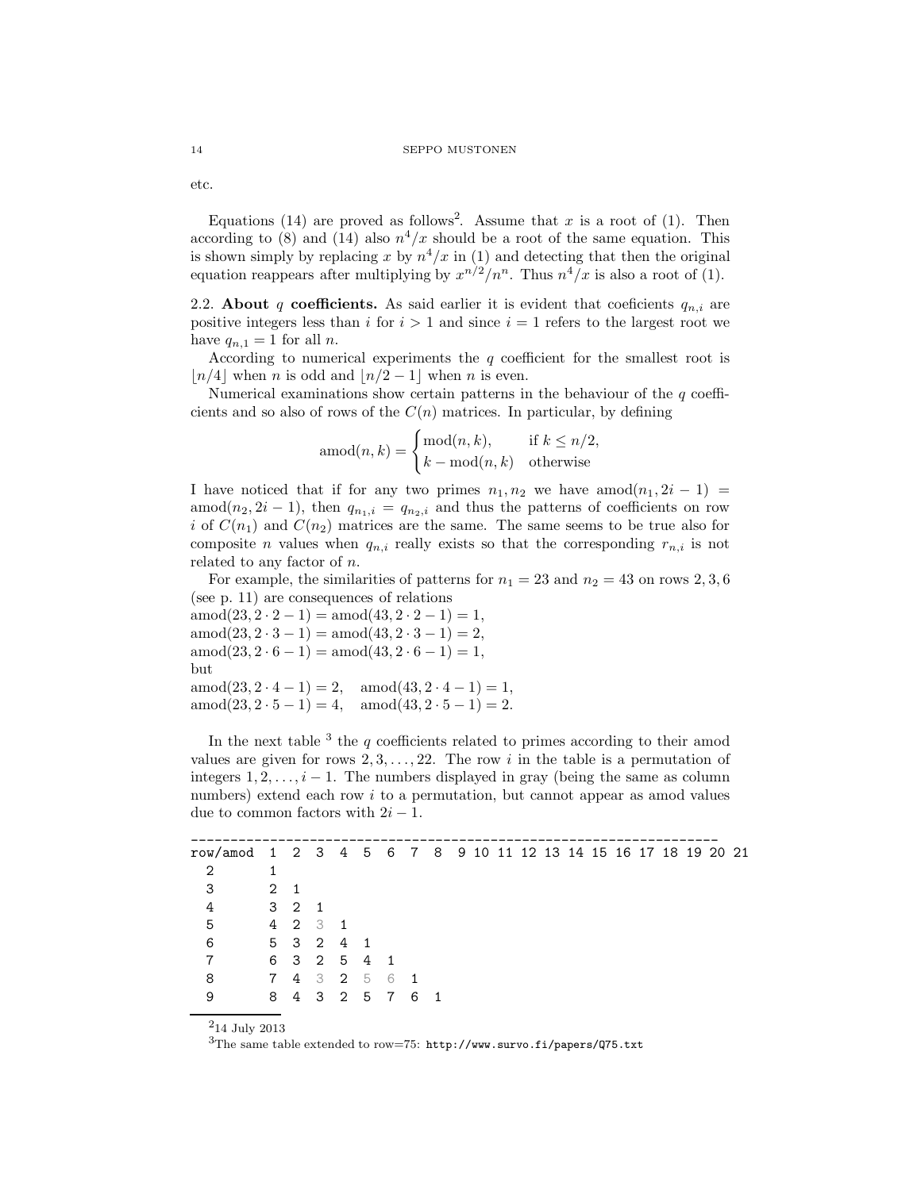#### 14 SEPPO MUSTONEN

etc.

Equations (14) are proved as follows<sup>2</sup>. Assume that x is a root of (1). Then according to (8) and (14) also  $n^4/x$  should be a root of the same equation. This is shown simply by replacing x by  $n^4/x$  in (1) and detecting that then the original equation reappears after multiplying by  $x^{n/2}/n^n$ . Thus  $n^4/x$  is also a root of (1).

2.2. About q coefficients. As said earlier it is evident that coeficients  $q_{n,i}$  are positive integers less than i for  $i > 1$  and since  $i = 1$  refers to the largest root we have  $q_{n,1} = 1$  for all n.

According to numerical experiments the  $q$  coefficient for the smallest root is  $\lfloor n/4 \rfloor$  when n is odd and  $\lfloor n/2 - 1 \rfloor$  when n is even.

Numerical examinations show certain patterns in the behaviour of the  $q$  coefficients and so also of rows of the  $C(n)$  matrices. In particular, by defining

$$
\text{amod}(n,k) = \begin{cases} \text{mod}(n,k), & \text{if } k \le n/2, \\ k - \text{mod}(n,k) & \text{otherwise} \end{cases}
$$

I have noticed that if for any two primes  $n_1, n_2$  we have amod $(n_1, 2i - 1)$ amod( $n_2$ , 2i − 1), then  $q_{n_1,i} = q_{n_2,i}$  and thus the patterns of coefficients on row i of  $C(n_1)$  and  $C(n_2)$  matrices are the same. The same seems to be true also for composite *n* values when  $q_{n,i}$  really exists so that the corresponding  $r_{n,i}$  is not related to any factor of n.

For example, the similarities of patterns for  $n_1 = 23$  and  $n_2 = 43$  on rows 2, 3, 6 (see p. 11) are consequences of relations

amod $(23, 2 \cdot 2 - 1) =$ amod $(43, 2 \cdot 2 - 1) = 1$ ,  $amod(23, 2 \cdot 3 - 1) = amod(43, 2 \cdot 3 - 1) = 2$  $\text{amod}(23, 2 \cdot 6 - 1) = \text{amod}(43, 2 \cdot 6 - 1) = 1,$ but  $amod(23, 2 \cdot 4 - 1) = 2$ ,  $amod(43, 2 \cdot 4 - 1) = 1$ ,  $\text{amod}(23, 2 \cdot 5 - 1) = 4, \quad \text{amod}(43, 2 \cdot 5 - 1) = 2.$ 

In the next table  $3$  the  $q$  coefficients related to primes according to their amod values are given for rows  $2, 3, \ldots, 22$ . The row i in the table is a permutation of integers  $1, 2, \ldots, i-1$ . The numbers displayed in gray (being the same as column numbers) extend each row i to a permutation, but cannot appear as amod values due to common factors with  $2i - 1$ .

| row/amod 1 2 3 4 5 6 7 8 9 10 11 12 13 14 15 16 17 18 19 20 21 |     |             |  |                 |  |  |  |  |  |  |  |  |
|----------------------------------------------------------------|-----|-------------|--|-----------------|--|--|--|--|--|--|--|--|
| 2                                                              |     |             |  |                 |  |  |  |  |  |  |  |  |
| 3                                                              | 2 1 |             |  |                 |  |  |  |  |  |  |  |  |
| 4                                                              |     | $3 \t2 \t1$ |  |                 |  |  |  |  |  |  |  |  |
| 5                                                              |     | 4 2 3 1     |  |                 |  |  |  |  |  |  |  |  |
| 6                                                              |     | 5 3 2 4 1   |  |                 |  |  |  |  |  |  |  |  |
| 7                                                              |     |             |  | 6 3 2 5 4 1     |  |  |  |  |  |  |  |  |
| 8                                                              |     |             |  | 7 4 3 2 5 6 1   |  |  |  |  |  |  |  |  |
| 9                                                              |     |             |  | 8 4 3 2 5 7 6 1 |  |  |  |  |  |  |  |  |
|                                                                |     |             |  |                 |  |  |  |  |  |  |  |  |

<sup>2</sup>14 July 2013

 $3$ The same table extended to row=75: http://www.survo.fi/papers/Q75.txt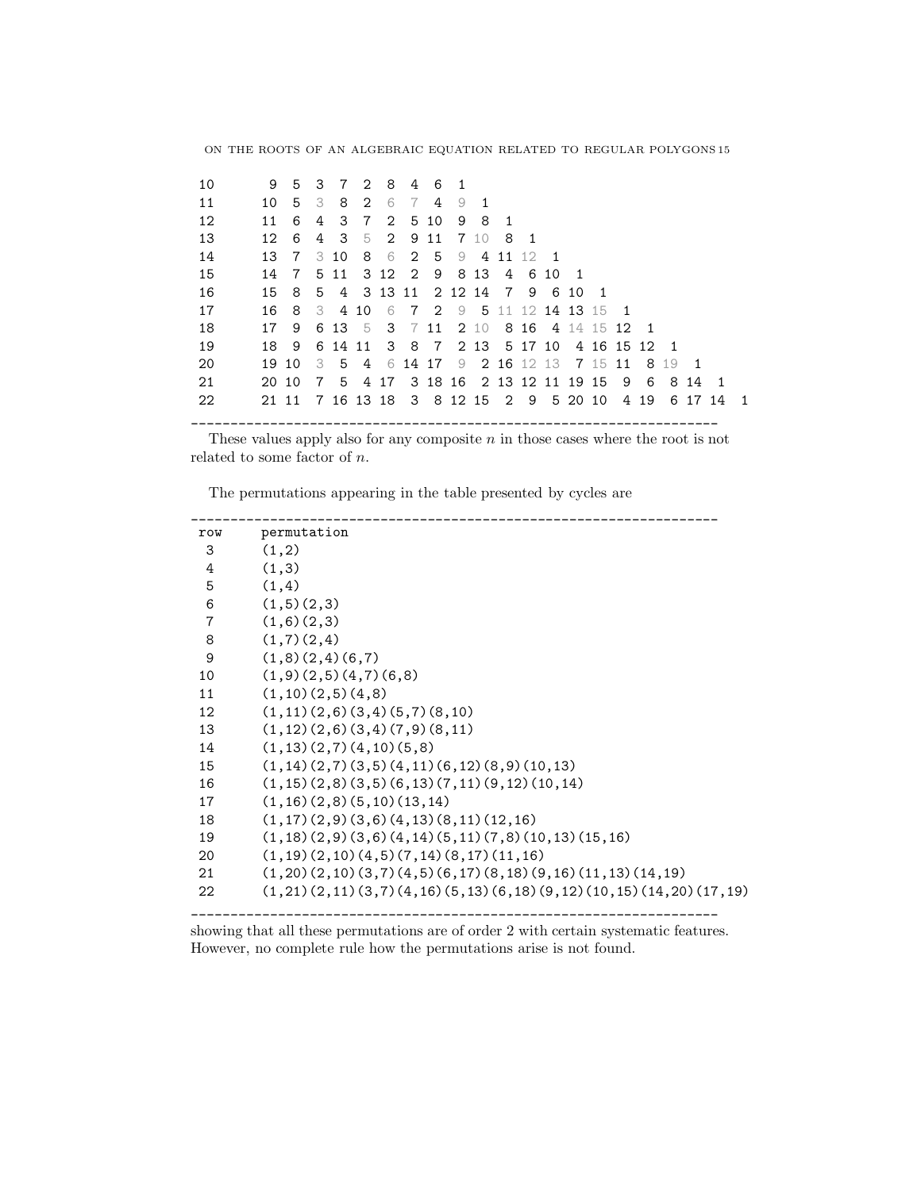| 10 | 9               |                 |                |      |       | 5 3 7 2 8       | 46             |   |     |       |      |                                         |                |                |      |      |                |     |
|----|-----------------|-----------------|----------------|------|-------|-----------------|----------------|---|-----|-------|------|-----------------------------------------|----------------|----------------|------|------|----------------|-----|
| 11 | 10              | - 5             | - 3            |      | 8 2 6 |                 | $\overline{7}$ | 4 | 9   |       |      |                                         |                |                |      |      |                |     |
| 12 | 11              | 6               | 4              |      |       | 3 7 2 5 10      |                |   |     | 9 8 1 |      |                                         |                |                |      |      |                |     |
| 13 | 12 <sup>1</sup> | - 6             | 4              |      |       | 3 5 2 9 11 7 10 |                |   |     |       | - 81 |                                         |                |                |      |      |                |     |
| 14 |                 | 13 7            |                | 3 10 |       | 8 6 2 5         |                |   | - 9 |       |      | 4 11 12 1                               |                |                |      |      |                |     |
| 15 | 14              | $7\overline{ }$ |                | 5 11 |       |                 |                |   |     |       |      | 3 12 2 9 8 13 4 6 10                    | $\overline{1}$ |                |      |      |                |     |
| 16 | 15              | -8              |                |      |       |                 |                |   |     |       |      | 5 4 3 13 11 2 12 14 7 9 6 10            |                | $\overline{1}$ |      |      |                |     |
| 17 | 16              | - 8             | - 3            |      | 4 10  |                 |                |   |     |       |      | 6 7 2 9 5 11 12 14 13 15 1              |                |                |      |      |                |     |
| 18 | 17              | 9               |                |      |       |                 |                |   |     |       |      | 6 13 5 3 7 11 2 10 8 16 4 14 15 12 1    |                |                |      |      |                |     |
| 19 | 18              | - 9             |                |      |       |                 |                |   |     |       |      | 6 14 11 3 8 7 2 13 5 17 10 4 16 15 12 1 |                |                |      |      |                |     |
| 20 |                 | 19 10           | - 3            |      |       |                 |                |   |     |       |      | 5 4 6 14 17 9 2 16 12 13 7 15 11 8 19   |                |                |      |      | $\overline{1}$ |     |
| 21 | 20 10           |                 | $\overline{7}$ |      |       |                 |                |   |     |       |      | 5 4 17 3 18 16 2 13 12 11 19 15 9       |                |                | - 6  | 8141 |                |     |
| 22 | 21 11           |                 |                |      |       |                 |                |   |     |       |      | 7 16 13 18 3 8 12 15 2 9                | 5 20 10        |                | 4 19 |      | 6 17 14        | - 1 |
|    |                 |                 |                |      |       |                 |                |   |     |       |      |                                         |                |                |      |      |                |     |

These values apply also for any composite  $n$  in those cases where the root is not related to some factor of  $n$ .

\_\_\_\_\_\_\_\_\_\_\_\_\_\_\_\_\_\_\_\_\_\_\_\_\_\_\_\_\_\_\_\_\_\_\_\_\_\_\_\_\_\_\_\_\_\_\_\_\_\_\_\_\_\_\_\_\_\_\_\_\_\_\_\_\_\_\_

The permutations appearing in the table presented by cycles are

| row            | permutation                                                          |
|----------------|----------------------------------------------------------------------|
| 3              | (1,2)                                                                |
| 4              | (1,3)                                                                |
| 5              | (1,4)                                                                |
| 6              | (1,5)(2,3)                                                           |
| $\overline{7}$ | (1,6)(2,3)                                                           |
| 8              | (1,7)(2,4)                                                           |
| 9              | (1,8)(2,4)(6,7)                                                      |
| 10             | (1,9)(2,5)(4,7)(6,8)                                                 |
| 11             | (1,10)(2,5)(4,8)                                                     |
| 12             | (1,11)(2,6)(3,4)(5,7)(8,10)                                          |
| 13             | (1,12)(2,6)(3,4)(7,9)(8,11)                                          |
| 14             | (1,13)(2,7)(4,10)(5,8)                                               |
| 15             | $(1, 14)$ $(2, 7)$ $(3, 5)$ $(4, 11)$ $(6, 12)$ $(8, 9)$ $(10, 13)$  |
| 16             | $(1, 15)$ $(2, 8)$ $(3, 5)$ $(6, 13)$ $(7, 11)$ $(9, 12)$ $(10, 14)$ |
| 17             | (1,16)(2,8)(5,10)(13,14)                                             |
| 18             | (1,17)(2,9)(3,6)(4,13)(8,11)(12,16)                                  |
| 19             | $(1,18)(2,9)(3,6)(4,14)(5,11)(7,8)(10,13)(15,16)$                    |
| 20             | $(1, 19)$ $(2, 10)$ $(4, 5)$ $(7, 14)$ $(8, 17)$ $(11, 16)$          |
| 21             | $(1,20)(2,10)(3,7)(4,5)(6,17)(8,18)(9,16)(11,13)(14,19)$             |
| 22             | $(1,21)(2,11)(3,7)(4,16)(5,13)(6,18)(9,12)(10,15)(14,20)(17,19)$     |
|                |                                                                      |

showing that all these permutations are of order 2 with certain systematic features. However, no complete rule how the permutations arise is not found.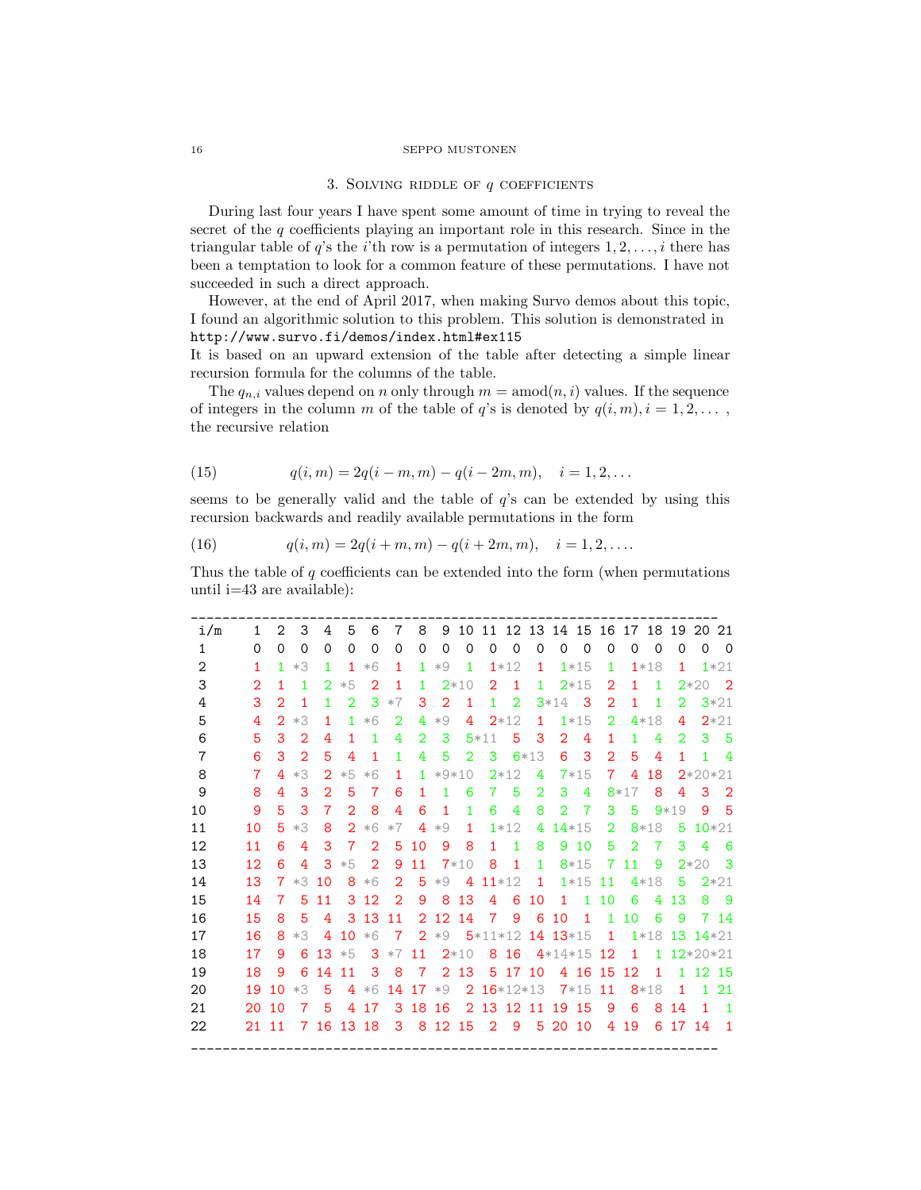#### 16 SEPPO MUSTONEN

## 3. SOLVING RIDDLE OF  $q$  COEFFICIENTS

During last four years I have spent some amount of time in trying to reveal the secret of the  $q$  coefficients playing an important role in this research. Since in the triangular table of  $q$ 's the *i*'th row is a permutation of integers  $1, 2, \ldots, i$  there has been a temptation to look for a common feature of these permutations. I have not succeeded in such a direct approach.

However, at the end of April 2017, when making Survo demos about this topic, I found an algorithmic solution to this problem. This solution is demonstrated in http://www.survo.fi/demos/index.html#ex115

It is based on an upward extension of the table after detecting a simple linear recursion formula for the columns of the table.

The  $q_{n,i}$  values depend on n only through  $m = \text{amod}(n, i)$  values. If the sequence of integers in the column m of the table of q's is denoted by  $q(i, m), i = 1, 2, \ldots$ , the recursive relation

(15) 
$$
q(i,m) = 2q(i-m,m) - q(i-2m,m), \quad i = 1,2,...
$$

seems to be generally valid and the table of  $q$ 's can be extended by using this recursion backwards and readily available permutations in the form

(16) 
$$
q(i,m) = 2q(i+m,m) - q(i+2m,m), \quad i = 1,2,...
$$

Thus the table of  $q$  coefficients can be extended into the form (when permutations until i=43 are available):

| i/m            | $\mathbf{1}$   | $\overline{2}$ | 3              | 4                           | 5              | 6              | $\overline{7}$ | 8              | 9               | 10             |                |                  |                |                | 11 12 13 14 15 16 17 18 19 20 |                |                |          |                |              | 21             |
|----------------|----------------|----------------|----------------|-----------------------------|----------------|----------------|----------------|----------------|-----------------|----------------|----------------|------------------|----------------|----------------|-------------------------------|----------------|----------------|----------|----------------|--------------|----------------|
| $\mathbf{1}$   | $\Omega$       | $\Omega$       | $\Omega$       | $\Omega$                    | $\Omega$       | $\Omega$       | $\Omega$       | $\Omega$       | $\Omega$        | $\Omega$       | $\Omega$       | $\Omega$         | $\Omega$       | 0              | $\Omega$                      | 0              | $\Omega$       | $\Omega$ | $\Omega$       | $\Omega$     | $\overline{0}$ |
| $\overline{2}$ | $\mathbf{1}$   | 1              | $*3$           | 1.                          | $\mathbf{1}$   | $*6$           | 1              | 1.             | $*9$            | 1              |                | $1*12$           | $\mathbf{1}$   |                | $1*15$                        | 1              |                | $1*18$   | 1              |              | $1*21$         |
| 3              | $\overline{2}$ | 1              | 1              | 2                           | $*5$           | $\overline{2}$ | 1              | 1              |                 | $2*10$         | $\overline{2}$ | $\mathbf{1}$     | 1              |                | $2*15$                        | $\overline{2}$ | 1              | 1        |                | $2*20$       | $\overline{2}$ |
| 4              | 3              | $\overline{2}$ | $\mathbf{1}$   | 1                           | $\overline{2}$ | 3              | $*7$           | 3              | $\overline{2}$  | $\mathbf{1}$   | $\mathbf{1}$   | $\overline{2}$   |                | $3*14$         | - 3                           | $\overline{2}$ | $\mathbf{1}$   | 1        | $\overline{2}$ |              | $3*21$         |
| 5              | 4              | $\overline{2}$ | $*3$           | $\mathbf{1}$                | 1.             | $*6$           | $\overline{2}$ | 4              | $*9$            | 4              |                | $2*12$           | 1.             |                | $1*15$                        | $\overline{2}$ |                | $4*18$   | 4              |              | $2*21$         |
| 6              | 5              | 3              | $\overline{2}$ | 4                           | $\mathbf{1}$   | 1              | 4              | $\overline{2}$ | 3               |                | $5*11$         | 5                | 3              | $\overline{2}$ | $\overline{4}$                | $\mathbf{1}$   | 1              | 4        | $\overline{2}$ | 3            | 5              |
| $\overline{7}$ | 6              | 3              | 2              | 5                           | 4              | 1              | 1              | 4              | 5               | $\overline{2}$ | 3              |                  | $6*13$         | 6              | 3                             | 2              | 5              | 4        | 1              | 1            | 4              |
| 8              | 7              | 4              | $*3$           | $\mathcal{D}_{\mathcal{L}}$ | $*5$           | $*6$           | $\mathbf{1}$   | 1.             |                 | $*9*10$        |                | $2*12$           | 4              |                | $7*15$                        | $\overline{7}$ | 4              | 18       |                | $2*20*21$    |                |
| 9              | 8              | 4              | 3              | $\overline{2}$              | 5              | 7              | 6              | 1              | 1               | 6              | 7              | 5                | $\overline{2}$ | 3              | 4                             |                | $8*17$         | 8        | 4              | 3            | $\overline{2}$ |
| 10             | 9              | 5              | 3              | 7                           | $\mathcal{D}$  | 8              | 4              | 6              | 1               | 1              | 6              | 4                | 8              | 2              | 7                             | 3              | 5              |          | $9*19$         | 9            | 5              |
| 11             | 10             | 5              | $*3$           | 8                           | $\overline{2}$ | $*6$           | $*7$           | 4              | $*9$            | $\mathbf{1}$   |                | $1*12$           | 4              |                | $14*15$                       | $\overline{2}$ |                | $8*18$   | 5              |              | $10*21$        |
| 12             | 11             | 6              | 4              | 3                           | 7              | $\overline{2}$ | 5              | 10             | 9               | 8              | 1              | 1                | 8              |                | 9 10                          | 5              | $\overline{2}$ | 7        | 3              | 4            | 6              |
| 13             | 12             | 6              | 4              | 3                           | $*5$           | $\overline{2}$ | 9              | 11             |                 | $7 * 10$       | 8              | $\mathbf{1}$     | $\mathbf{1}$   |                | $8*15$                        | 7              | 11             | 9        |                | $2*20$       | 3              |
| 14             | 13             | 7              | $*3$           | 10                          | 8              | $*6$           | $\mathcal{D}$  | 5              | $*9$            | 4              |                | $11*12$          | $\mathbf{1}$   |                | $1*15$                        | 11             |                | $4*18$   | 5              |              | $2*21$         |
| 15             | 14             | 7              | 5              | 11                          | 3              | 12             | $\overline{2}$ | 9              | 8               | 13             | 4              | 6                | 10             | $\mathbf{1}$   | $\mathbf{1}$                  | 10             | 6              | 4        | 13             | 8            | - 9            |
| 16             | 15             | 8              | 5              | 4                           | 3              | 13             | 11             | $\overline{2}$ | 12 <sub>2</sub> | 14             | 7              | 9                | 6              | 10             | $\mathbf{1}$                  | 1              | 10             | 6        | 9              |              | 7 14           |
| 17             | 16             | 8              | $*3$           | 4                           | 10             | $*6$           | 7              |                | $2 * 9$         |                |                | 5*11*12 14 13*15 |                |                |                               | $\mathbf{1}$   |                | $1*18$   |                | $13 \t14*21$ |                |
| 18             | 17             | 9              | 6              | 13                          | $*5$           | 3              | $*7$           | 11             |                 | $2*10$         | 8              | 16               |                | $4*14*15$      |                               | 12             | $\mathbf{1}$   | 1        |                | $12*20*21$   |                |
| 19             | 18             | 9              | 6              | 14                          | 11             | 3              | 8              | 7              | $\overline{2}$  | 13             | 5              | 17 10            |                |                | 4 16                          | 15             | 12             | 1        | $\mathbf{1}$   | 12 15        |                |
| 20             | 19             | 10             | $*3$           | 5                           | 4              | $*6$           | 14             | 17             | $*9$            |                |                | $2.16*12*13$     |                |                | $7*15$                        | 11             |                | $8*18$   | 1              | $\mathbf{1}$ | 21             |
| 21             | 20             | 10             | 7              | 5                           | 4              | 17             | 3              | 18             | -16             | $2^{\circ}$    |                | 13 12            | 11             |                | 19 15                         | 9              | 6              | 8        | 14             | 1            | $\mathbf{1}$   |
| 22             | 21             | 11             | 7              | 16                          | 13 18          |                | 3              | 8              |                 | 12 15          | $\overline{2}$ | 9                |                | 5 20           | 10                            | 4              | 19             | 6        | 17             | 14           | 1              |
|                |                |                |                |                             |                |                |                |                |                 |                |                |                  |                |                |                               |                |                |          |                |              |                |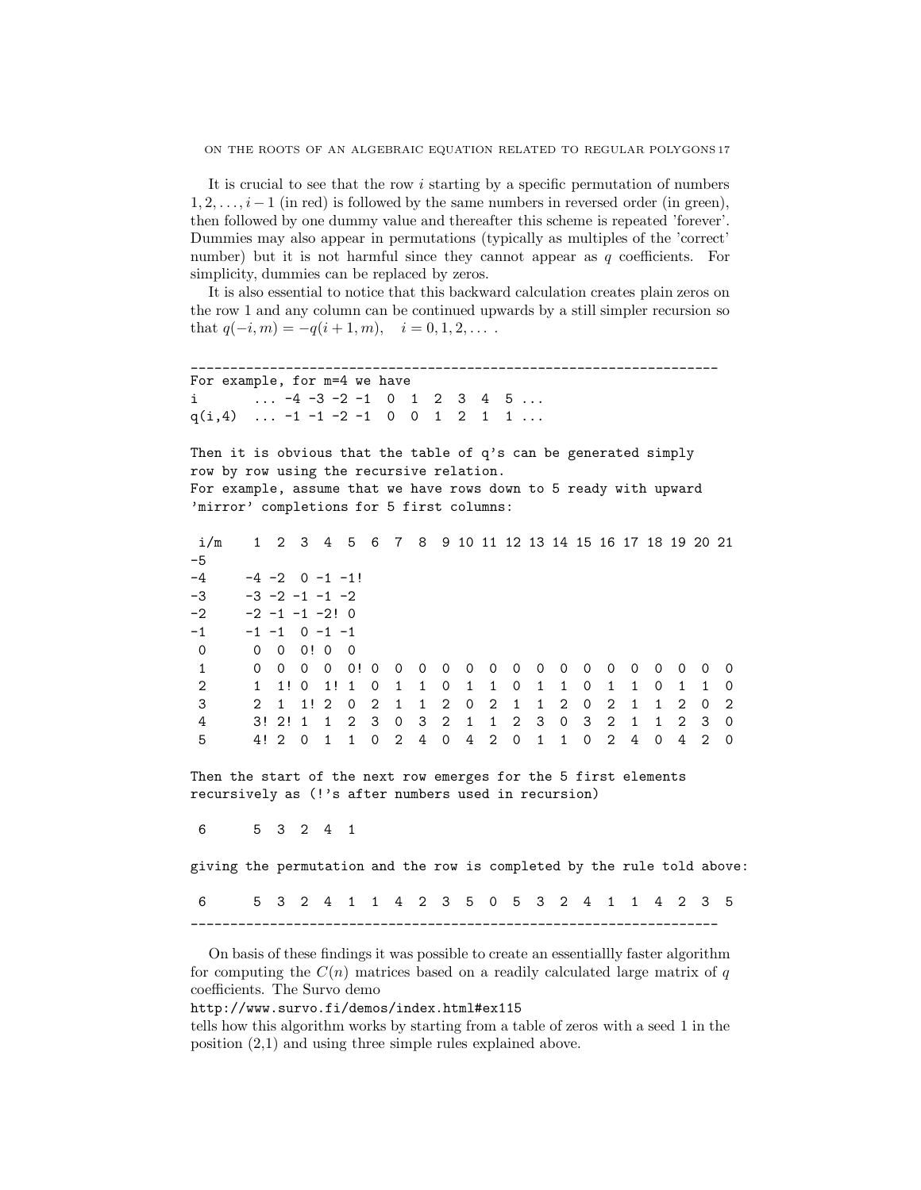It is crucial to see that the row i starting by a specific permutation of numbers  $1, 2, \ldots, i-1$  (in red) is followed by the same numbers in reversed order (in green), then followed by one dummy value and thereafter this scheme is repeated 'forever'. Dummies may also appear in permutations (typically as multiples of the 'correct' number) but it is not harmful since they cannot appear as q coefficients. For simplicity, dummies can be replaced by zeros.

It is also essential to notice that this backward calculation creates plain zeros on the row 1 and any column can be continued upwards by a still simpler recursion so that  $q(-i, m) = -q(i + 1, m), \quad i = 0, 1, 2, \ldots$ .

\_\_\_\_\_\_\_\_\_\_\_\_\_\_\_\_\_\_\_\_\_\_\_\_\_\_\_\_\_\_\_\_\_\_\_\_\_\_\_\_\_\_\_\_\_\_\_\_\_\_\_\_\_\_\_\_\_\_\_\_\_\_\_\_\_\_\_ For example, for m=4 we have i  $...$  -4 -3 -2 -1 0 1 2 3 4 5 ...  $q(i,4)$  ...  $-1$   $-1$   $-2$   $-1$  0 0 1 2 1 1 ... Then it is obvious that the table of q's can be generated simply row by row using the recursive relation. For example, assume that we have rows down to 5 ready with upward 'mirror' completions for 5 first columns: i/m 1 2 3 4 5 6 7 8 9 10 11 12 13 14 15 16 17 18 19 20 21 -5  $-4$   $-4$   $-2$  0  $-1$   $-1$ !  $-3$   $-3$   $-2$   $-1$   $-1$   $-2$  $-2$   $-2$   $-1$   $-1$   $-2!$  0  $-1$   $-1$   $-1$   $0$   $-1$   $-1$ 0 0 0 0! 0 0 1 0 0 0 0 0! 0 0 0 0 0 0 0 0 0 0 0 0 0 0 0 0 2 1 1! 0 1! 1 0 1 1 0 1 1 0 1 1 0 1 1 0 1 1 0 3 2 1 1! 2 0 2 1 1 2 0 2 1 1 2 0 2 1 1 2 0 2 4 3! 2! 1 1 2 3 0 3 2 1 1 2 3 0 3 2 1 1 2 3 0 5 4! 2 0 1 1 0 2 4 0 4 2 0 1 1 0 2 4 0 4 2 0 Then the start of the next row emerges for the 5 first elements recursively as (!'s after numbers used in recursion) 6 5 3 2 4 1 giving the permutation and the row is completed by the rule told above:

6 5 3 2 4 1 1 4 2 3 5 0 5 3 2 4 1 1 4 2 3 5 \_\_\_\_\_\_\_\_\_\_\_\_\_\_\_\_\_\_\_\_\_\_\_\_\_\_\_\_\_\_\_\_\_\_\_\_\_\_\_\_\_\_\_\_\_\_\_\_\_\_\_\_\_\_\_\_\_\_\_\_\_\_\_\_\_\_\_

On basis of these findings it was possible to create an essentiallly faster algorithm for computing the  $C(n)$  matrices based on a readily calculated large matrix of q coefficients. The Survo demo

http://www.survo.fi/demos/index.html#ex115

tells how this algorithm works by starting from a table of zeros with a seed 1 in the position (2,1) and using three simple rules explained above.